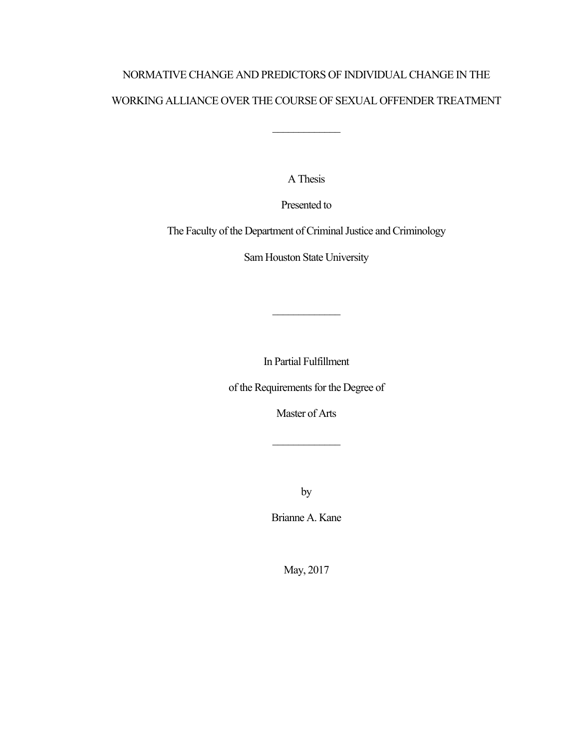# NORMATIVE CHANGE AND PREDICTORS OF INDIVIDUAL CHANGE IN THE WORKING ALLIANCE OVER THE COURSE OF SEXUAL OFFENDER TREATMENT

 $\frac{1}{2}$  ,  $\frac{1}{2}$  ,  $\frac{1}{2}$  ,  $\frac{1}{2}$  ,  $\frac{1}{2}$  ,  $\frac{1}{2}$  ,  $\frac{1}{2}$  ,  $\frac{1}{2}$  ,  $\frac{1}{2}$  ,  $\frac{1}{2}$  ,  $\frac{1}{2}$  ,  $\frac{1}{2}$  ,  $\frac{1}{2}$  ,  $\frac{1}{2}$  ,  $\frac{1}{2}$  ,  $\frac{1}{2}$  ,  $\frac{1}{2}$  ,  $\frac{1}{2}$  ,  $\frac{1$ 

A Thesis

Presented to

The Faculty of the Department of Criminal Justice and Criminology

Sam Houston State University

In Partial Fulfillment

\_\_\_\_\_\_\_\_\_\_\_\_\_

of the Requirements for the Degree of

Master of Arts

\_\_\_\_\_\_\_\_\_\_\_\_\_

by

Brianne A. Kane

May, 2017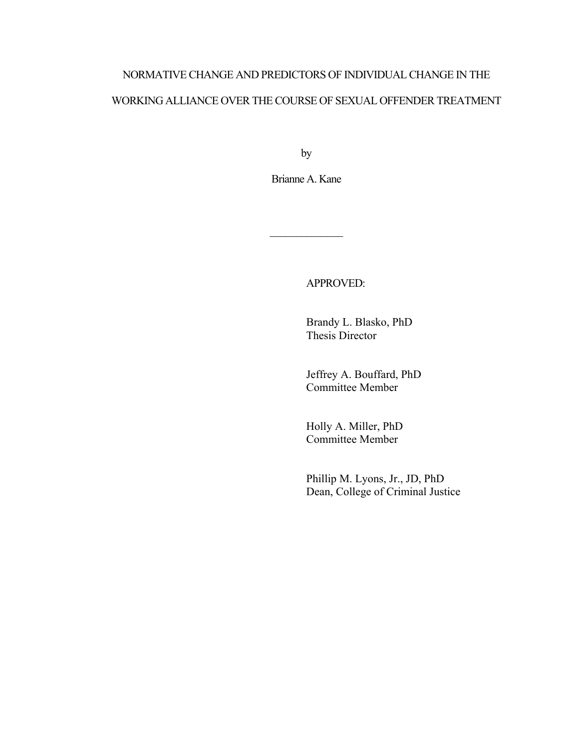# NORMATIVE CHANGE AND PREDICTORS OF INDIVIDUAL CHANGE IN THE WORKING ALLIANCE OVER THE COURSE OF SEXUAL OFFENDER TREATMENT

by

Brianne A. Kane

\_\_\_\_\_\_\_\_\_\_\_\_\_\_

APPROVED:

Brandy L. Blasko, PhD Thesis Director

Jeffrey A. Bouffard, PhD Committee Member

Holly A. Miller, PhD Committee Member

Phillip M. Lyons, Jr., JD, PhD Dean, College of Criminal Justice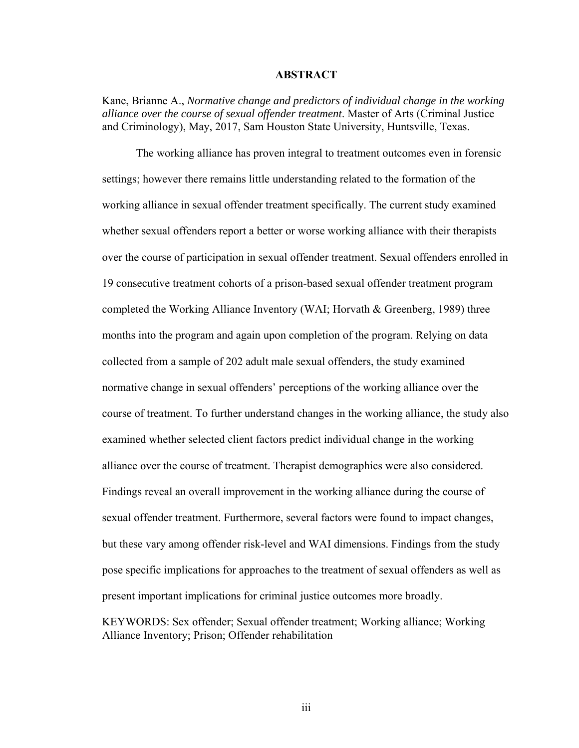#### **ABSTRACT**

Kane, Brianne A., *Normative change and predictors of individual change in the working alliance over the course of sexual offender treatment*. Master of Arts (Criminal Justice and Criminology), May, 2017, Sam Houston State University, Huntsville, Texas.

The working alliance has proven integral to treatment outcomes even in forensic settings; however there remains little understanding related to the formation of the working alliance in sexual offender treatment specifically. The current study examined whether sexual offenders report a better or worse working alliance with their therapists over the course of participation in sexual offender treatment. Sexual offenders enrolled in 19 consecutive treatment cohorts of a prison-based sexual offender treatment program completed the Working Alliance Inventory (WAI; Horvath & Greenberg, 1989) three months into the program and again upon completion of the program. Relying on data collected from a sample of 202 adult male sexual offenders, the study examined normative change in sexual offenders' perceptions of the working alliance over the course of treatment. To further understand changes in the working alliance, the study also examined whether selected client factors predict individual change in the working alliance over the course of treatment. Therapist demographics were also considered. Findings reveal an overall improvement in the working alliance during the course of sexual offender treatment. Furthermore, several factors were found to impact changes, but these vary among offender risk-level and WAI dimensions. Findings from the study pose specific implications for approaches to the treatment of sexual offenders as well as present important implications for criminal justice outcomes more broadly.

KEYWORDS: Sex offender; Sexual offender treatment; Working alliance; Working Alliance Inventory; Prison; Offender rehabilitation

iii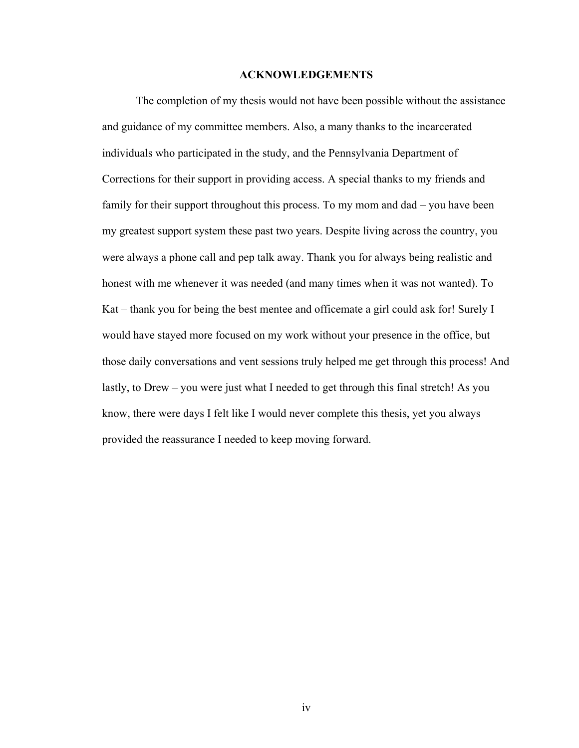#### **ACKNOWLEDGEMENTS**

The completion of my thesis would not have been possible without the assistance and guidance of my committee members. Also, a many thanks to the incarcerated individuals who participated in the study, and the Pennsylvania Department of Corrections for their support in providing access. A special thanks to my friends and family for their support throughout this process. To my mom and dad – you have been my greatest support system these past two years. Despite living across the country, you were always a phone call and pep talk away. Thank you for always being realistic and honest with me whenever it was needed (and many times when it was not wanted). To Kat – thank you for being the best mentee and officemate a girl could ask for! Surely I would have stayed more focused on my work without your presence in the office, but those daily conversations and vent sessions truly helped me get through this process! And lastly, to Drew – you were just what I needed to get through this final stretch! As you know, there were days I felt like I would never complete this thesis, yet you always provided the reassurance I needed to keep moving forward.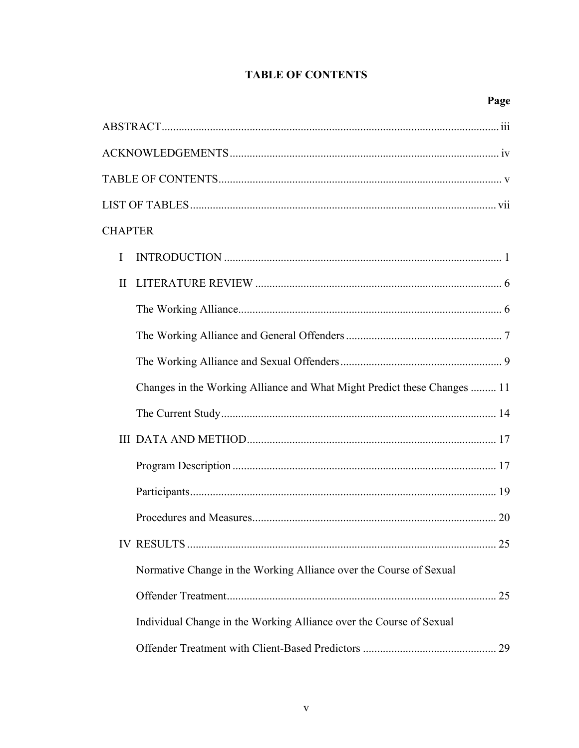## **TABLE OF CONTENTS**

| <b>CHAPTER</b>                                                           |
|--------------------------------------------------------------------------|
| L                                                                        |
| $\mathbf{I}$                                                             |
|                                                                          |
|                                                                          |
|                                                                          |
| Changes in the Working Alliance and What Might Predict these Changes  11 |
|                                                                          |
|                                                                          |
|                                                                          |
|                                                                          |
|                                                                          |
| 25                                                                       |
| Normative Change in the Working Alliance over the Course of Sexual       |
|                                                                          |
| Individual Change in the Working Alliance over the Course of Sexual      |
|                                                                          |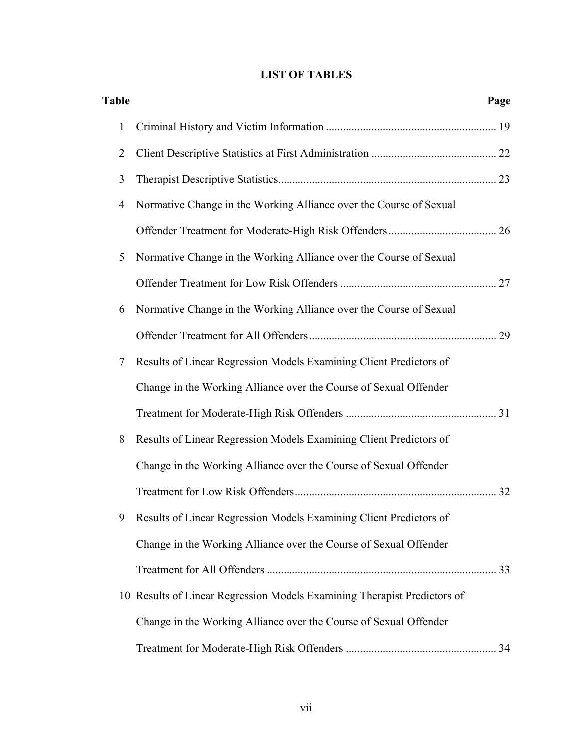## **LIST OF TABLES**

| <b>Table</b> |                                                                          | Page |
|--------------|--------------------------------------------------------------------------|------|
| 1            |                                                                          |      |
| 2            |                                                                          |      |
| 3            |                                                                          |      |
| 4            | Normative Change in the Working Alliance over the Course of Sexual       |      |
|              |                                                                          |      |
| 5            | Normative Change in the Working Alliance over the Course of Sexual       |      |
|              |                                                                          |      |
| 6            | Normative Change in the Working Alliance over the Course of Sexual       |      |
|              |                                                                          |      |
| 7            | Results of Linear Regression Models Examining Client Predictors of       |      |
|              | Change in the Working Alliance over the Course of Sexual Offender        |      |
|              |                                                                          |      |
| 8            | Results of Linear Regression Models Examining Client Predictors of       |      |
|              | Change in the Working Alliance over the Course of Sexual Offender        |      |
|              |                                                                          |      |
|              | 9 Results of Linear Regression Models Examining Client Predictors of     |      |
|              | Change in the Working Alliance over the Course of Sexual Offender        |      |
|              |                                                                          |      |
|              | 10 Results of Linear Regression Models Examining Therapist Predictors of |      |
|              | Change in the Working Alliance over the Course of Sexual Offender        |      |
|              |                                                                          |      |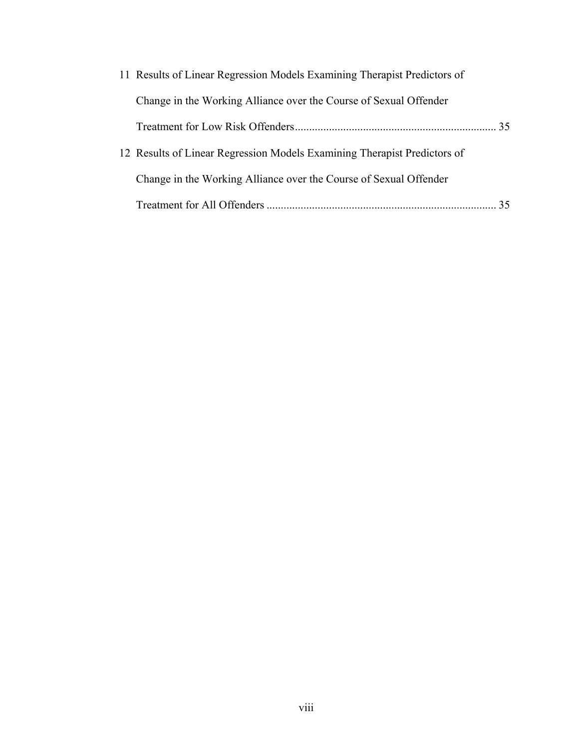| 11 Results of Linear Regression Models Examining Therapist Predictors of |    |
|--------------------------------------------------------------------------|----|
| Change in the Working Alliance over the Course of Sexual Offender        |    |
|                                                                          |    |
| 12 Results of Linear Regression Models Examining Therapist Predictors of |    |
| Change in the Working Alliance over the Course of Sexual Offender        |    |
|                                                                          | 35 |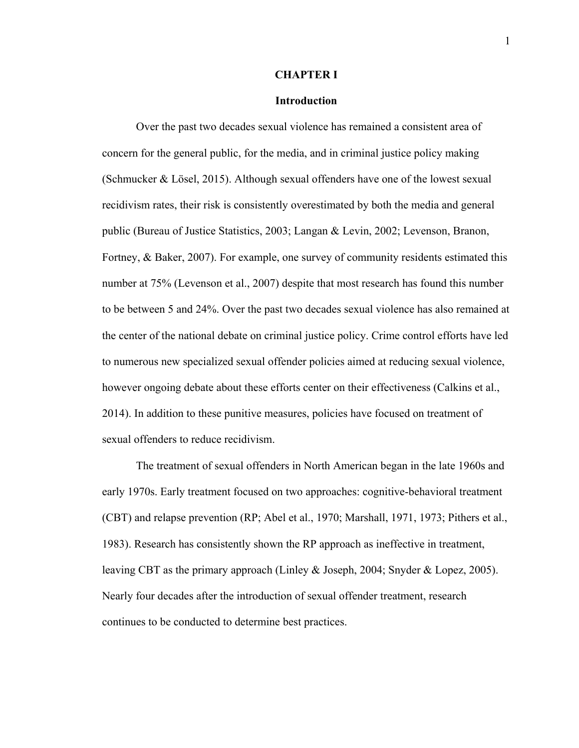#### **CHAPTER I**

#### **Introduction**

Over the past two decades sexual violence has remained a consistent area of concern for the general public, for the media, and in criminal justice policy making (Schmucker & Lösel, 2015). Although sexual offenders have one of the lowest sexual recidivism rates, their risk is consistently overestimated by both the media and general public (Bureau of Justice Statistics, 2003; Langan & Levin, 2002; Levenson, Branon, Fortney, & Baker, 2007). For example, one survey of community residents estimated this number at 75% (Levenson et al., 2007) despite that most research has found this number to be between 5 and 24%. Over the past two decades sexual violence has also remained at the center of the national debate on criminal justice policy. Crime control efforts have led to numerous new specialized sexual offender policies aimed at reducing sexual violence, however ongoing debate about these efforts center on their effectiveness (Calkins et al., 2014). In addition to these punitive measures, policies have focused on treatment of sexual offenders to reduce recidivism.

The treatment of sexual offenders in North American began in the late 1960s and early 1970s. Early treatment focused on two approaches: cognitive-behavioral treatment (CBT) and relapse prevention (RP; Abel et al., 1970; Marshall, 1971, 1973; Pithers et al., 1983). Research has consistently shown the RP approach as ineffective in treatment, leaving CBT as the primary approach (Linley & Joseph, 2004; Snyder & Lopez, 2005). Nearly four decades after the introduction of sexual offender treatment, research continues to be conducted to determine best practices.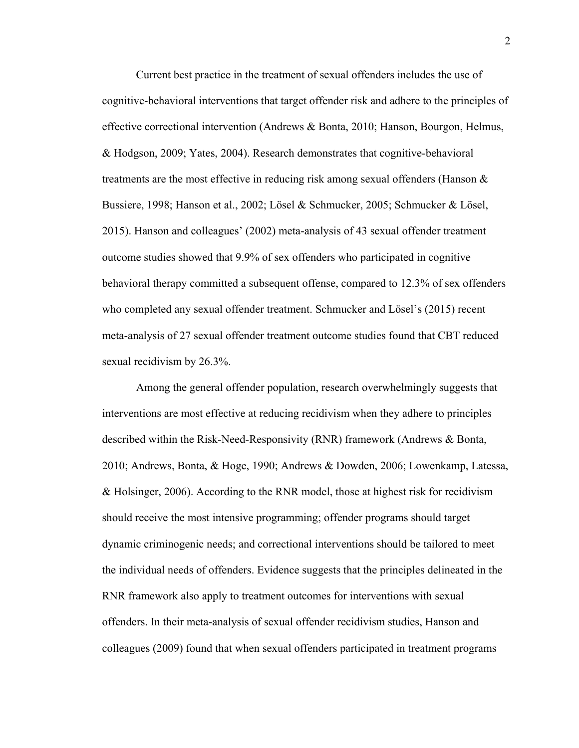Current best practice in the treatment of sexual offenders includes the use of cognitive-behavioral interventions that target offender risk and adhere to the principles of effective correctional intervention (Andrews & Bonta, 2010; Hanson, Bourgon, Helmus, & Hodgson, 2009; Yates, 2004). Research demonstrates that cognitive-behavioral treatments are the most effective in reducing risk among sexual offenders (Hanson & Bussiere, 1998; Hanson et al., 2002; Lösel & Schmucker, 2005; Schmucker & Lösel, 2015). Hanson and colleagues' (2002) meta-analysis of 43 sexual offender treatment outcome studies showed that 9.9% of sex offenders who participated in cognitive behavioral therapy committed a subsequent offense, compared to 12.3% of sex offenders who completed any sexual offender treatment. Schmucker and Lösel's (2015) recent meta-analysis of 27 sexual offender treatment outcome studies found that CBT reduced sexual recidivism by 26.3%.

Among the general offender population, research overwhelmingly suggests that interventions are most effective at reducing recidivism when they adhere to principles described within the Risk-Need-Responsivity (RNR) framework (Andrews & Bonta, 2010; Andrews, Bonta, & Hoge, 1990; Andrews & Dowden, 2006; Lowenkamp, Latessa, & Holsinger, 2006). According to the RNR model, those at highest risk for recidivism should receive the most intensive programming; offender programs should target dynamic criminogenic needs; and correctional interventions should be tailored to meet the individual needs of offenders. Evidence suggests that the principles delineated in the RNR framework also apply to treatment outcomes for interventions with sexual offenders. In their meta-analysis of sexual offender recidivism studies, Hanson and colleagues (2009) found that when sexual offenders participated in treatment programs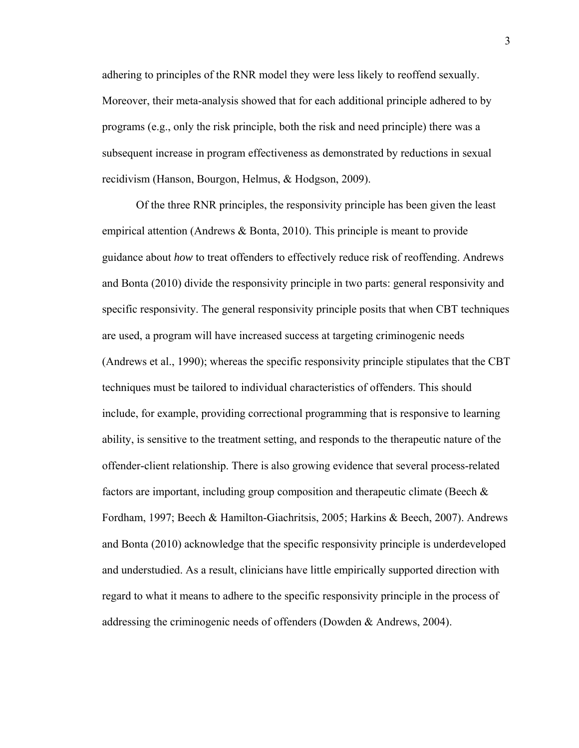adhering to principles of the RNR model they were less likely to reoffend sexually. Moreover, their meta-analysis showed that for each additional principle adhered to by programs (e.g., only the risk principle, both the risk and need principle) there was a subsequent increase in program effectiveness as demonstrated by reductions in sexual recidivism (Hanson, Bourgon, Helmus, & Hodgson, 2009).

Of the three RNR principles, the responsivity principle has been given the least empirical attention (Andrews  $\&$  Bonta, 2010). This principle is meant to provide guidance about *how* to treat offenders to effectively reduce risk of reoffending. Andrews and Bonta (2010) divide the responsivity principle in two parts: general responsivity and specific responsivity. The general responsivity principle posits that when CBT techniques are used, a program will have increased success at targeting criminogenic needs (Andrews et al., 1990); whereas the specific responsivity principle stipulates that the CBT techniques must be tailored to individual characteristics of offenders. This should include, for example, providing correctional programming that is responsive to learning ability, is sensitive to the treatment setting, and responds to the therapeutic nature of the offender-client relationship. There is also growing evidence that several process-related factors are important, including group composition and therapeutic climate (Beech  $\&$ Fordham, 1997; Beech & Hamilton-Giachritsis, 2005; Harkins & Beech, 2007). Andrews and Bonta (2010) acknowledge that the specific responsivity principle is underdeveloped and understudied. As a result, clinicians have little empirically supported direction with regard to what it means to adhere to the specific responsivity principle in the process of addressing the criminogenic needs of offenders (Dowden & Andrews, 2004).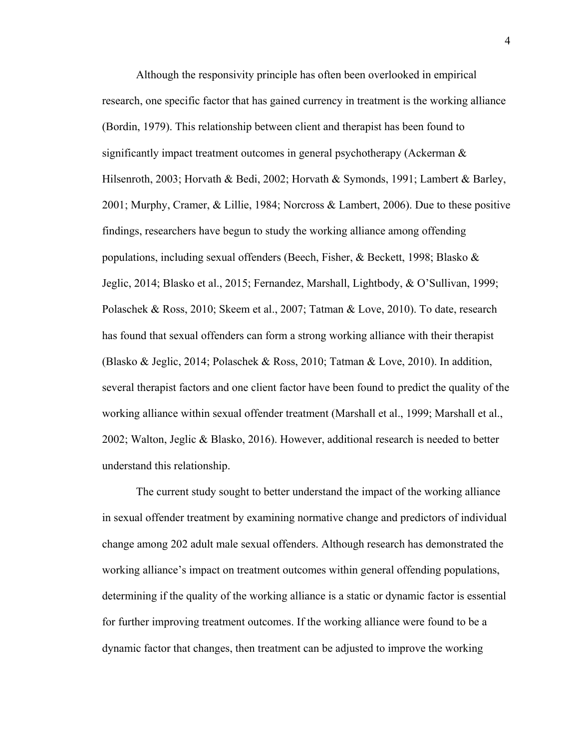Although the responsivity principle has often been overlooked in empirical research, one specific factor that has gained currency in treatment is the working alliance (Bordin, 1979). This relationship between client and therapist has been found to significantly impact treatment outcomes in general psychotherapy (Ackerman & Hilsenroth, 2003; Horvath & Bedi, 2002; Horvath & Symonds, 1991; Lambert & Barley, 2001; Murphy, Cramer, & Lillie, 1984; Norcross & Lambert, 2006). Due to these positive findings, researchers have begun to study the working alliance among offending populations, including sexual offenders (Beech, Fisher, & Beckett, 1998; Blasko & Jeglic, 2014; Blasko et al., 2015; Fernandez, Marshall, Lightbody, & O'Sullivan, 1999; Polaschek & Ross, 2010; Skeem et al., 2007; Tatman & Love, 2010). To date, research has found that sexual offenders can form a strong working alliance with their therapist (Blasko & Jeglic, 2014; Polaschek & Ross, 2010; Tatman & Love, 2010). In addition, several therapist factors and one client factor have been found to predict the quality of the working alliance within sexual offender treatment (Marshall et al., 1999; Marshall et al., 2002; Walton, Jeglic & Blasko, 2016). However, additional research is needed to better understand this relationship.

The current study sought to better understand the impact of the working alliance in sexual offender treatment by examining normative change and predictors of individual change among 202 adult male sexual offenders. Although research has demonstrated the working alliance's impact on treatment outcomes within general offending populations, determining if the quality of the working alliance is a static or dynamic factor is essential for further improving treatment outcomes. If the working alliance were found to be a dynamic factor that changes, then treatment can be adjusted to improve the working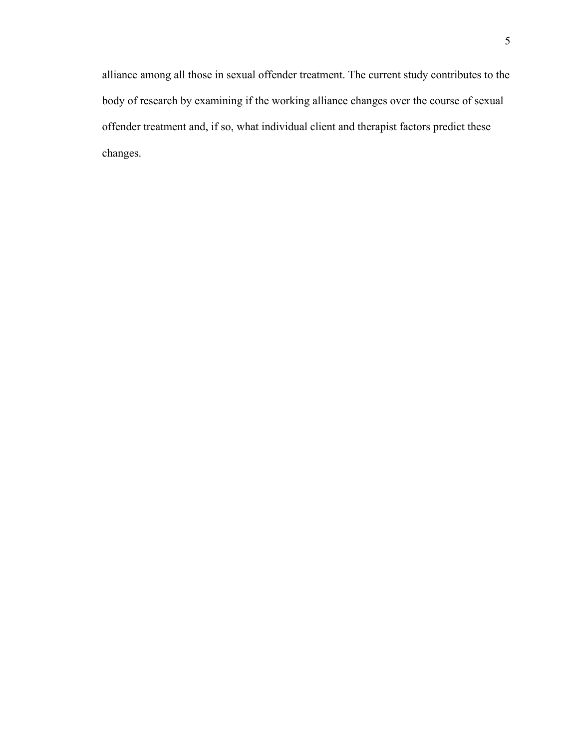alliance among all those in sexual offender treatment. The current study contributes to the body of research by examining if the working alliance changes over the course of sexual offender treatment and, if so, what individual client and therapist factors predict these changes.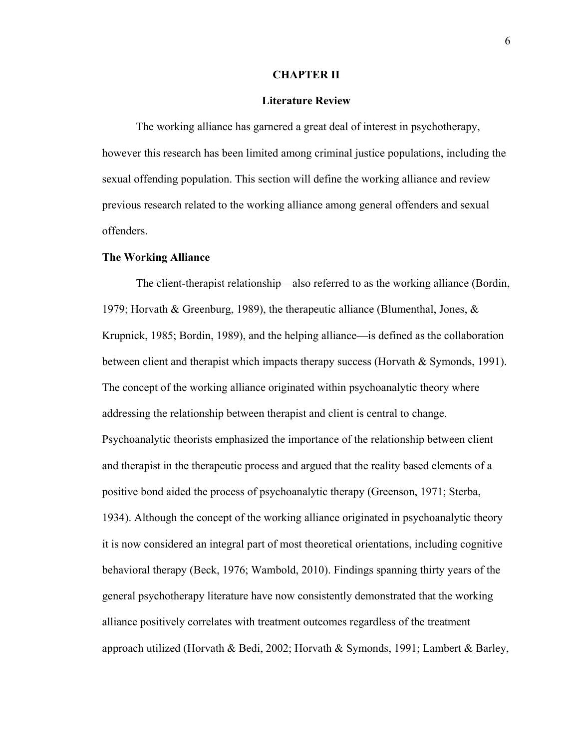#### **CHAPTER II**

#### **Literature Review**

The working alliance has garnered a great deal of interest in psychotherapy, however this research has been limited among criminal justice populations, including the sexual offending population. This section will define the working alliance and review previous research related to the working alliance among general offenders and sexual offenders.

#### **The Working Alliance**

The client-therapist relationship—also referred to as the working alliance (Bordin, 1979; Horvath & Greenburg, 1989), the therapeutic alliance (Blumenthal, Jones, & Krupnick, 1985; Bordin, 1989), and the helping alliance—is defined as the collaboration between client and therapist which impacts therapy success (Horvath & Symonds, 1991). The concept of the working alliance originated within psychoanalytic theory where addressing the relationship between therapist and client is central to change. Psychoanalytic theorists emphasized the importance of the relationship between client and therapist in the therapeutic process and argued that the reality based elements of a positive bond aided the process of psychoanalytic therapy (Greenson, 1971; Sterba, 1934). Although the concept of the working alliance originated in psychoanalytic theory it is now considered an integral part of most theoretical orientations, including cognitive behavioral therapy (Beck, 1976; Wambold, 2010). Findings spanning thirty years of the general psychotherapy literature have now consistently demonstrated that the working alliance positively correlates with treatment outcomes regardless of the treatment approach utilized (Horvath & Bedi, 2002; Horvath & Symonds, 1991; Lambert & Barley,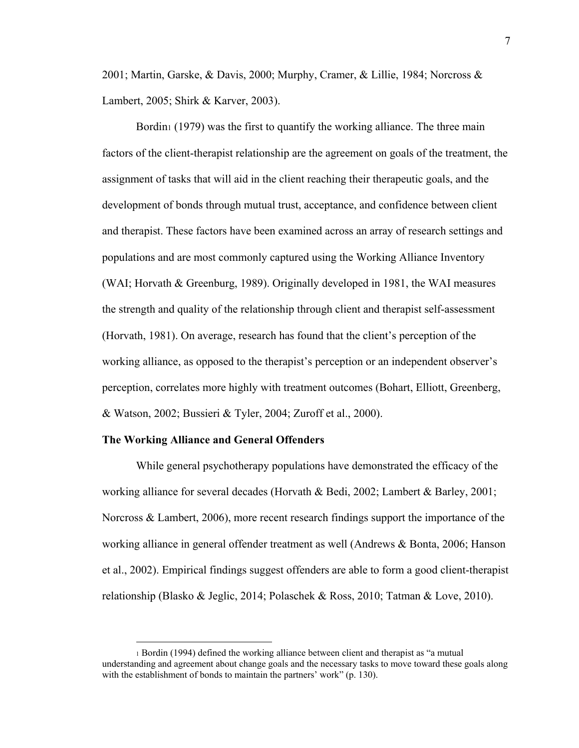2001; Martin, Garske, & Davis, 2000; Murphy, Cramer, & Lillie, 1984; Norcross & Lambert, 2005; Shirk & Karver, 2003).

Bordin<sub>1</sub> (1979) was the first to quantify the working alliance. The three main factors of the client-therapist relationship are the agreement on goals of the treatment, the assignment of tasks that will aid in the client reaching their therapeutic goals, and the development of bonds through mutual trust, acceptance, and confidence between client and therapist. These factors have been examined across an array of research settings and populations and are most commonly captured using the Working Alliance Inventory (WAI; Horvath & Greenburg, 1989). Originally developed in 1981, the WAI measures the strength and quality of the relationship through client and therapist self-assessment (Horvath, 1981). On average, research has found that the client's perception of the working alliance, as opposed to the therapist's perception or an independent observer's perception, correlates more highly with treatment outcomes (Bohart, Elliott, Greenberg, & Watson, 2002; Bussieri & Tyler, 2004; Zuroff et al., 2000).

#### **The Working Alliance and General Offenders**

1

While general psychotherapy populations have demonstrated the efficacy of the working alliance for several decades (Horvath & Bedi, 2002; Lambert & Barley, 2001; Norcross & Lambert, 2006), more recent research findings support the importance of the working alliance in general offender treatment as well (Andrews & Bonta, 2006; Hanson et al., 2002). Empirical findings suggest offenders are able to form a good client-therapist relationship (Blasko & Jeglic, 2014; Polaschek & Ross, 2010; Tatman & Love, 2010).

<sup>1</sup> Bordin (1994) defined the working alliance between client and therapist as "a mutual understanding and agreement about change goals and the necessary tasks to move toward these goals along with the establishment of bonds to maintain the partners' work" (p. 130).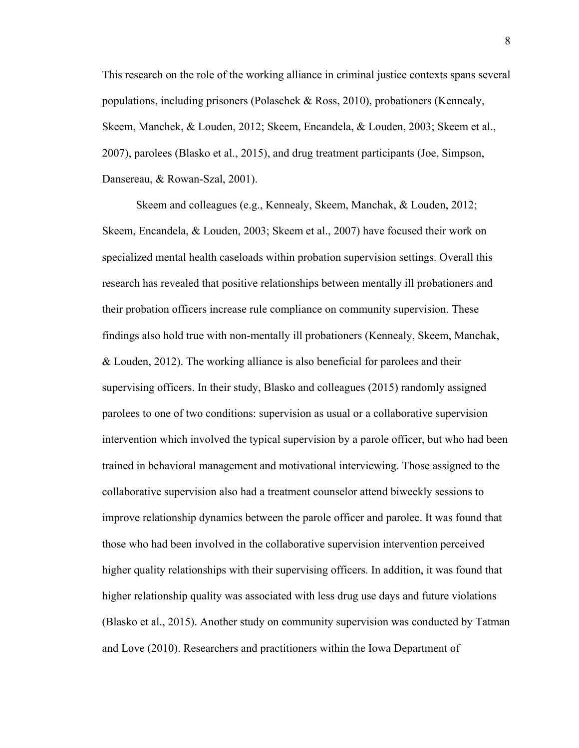This research on the role of the working alliance in criminal justice contexts spans several populations, including prisoners (Polaschek & Ross, 2010), probationers (Kennealy, Skeem, Manchek, & Louden, 2012; Skeem, Encandela, & Louden, 2003; Skeem et al., 2007), parolees (Blasko et al., 2015), and drug treatment participants (Joe, Simpson, Dansereau, & Rowan-Szal, 2001).

Skeem and colleagues (e.g., Kennealy, Skeem, Manchak, & Louden, 2012; Skeem, Encandela, & Louden, 2003; Skeem et al., 2007) have focused their work on specialized mental health caseloads within probation supervision settings. Overall this research has revealed that positive relationships between mentally ill probationers and their probation officers increase rule compliance on community supervision. These findings also hold true with non-mentally ill probationers (Kennealy, Skeem, Manchak, & Louden, 2012). The working alliance is also beneficial for parolees and their supervising officers. In their study, Blasko and colleagues (2015) randomly assigned parolees to one of two conditions: supervision as usual or a collaborative supervision intervention which involved the typical supervision by a parole officer, but who had been trained in behavioral management and motivational interviewing. Those assigned to the collaborative supervision also had a treatment counselor attend biweekly sessions to improve relationship dynamics between the parole officer and parolee. It was found that those who had been involved in the collaborative supervision intervention perceived higher quality relationships with their supervising officers. In addition, it was found that higher relationship quality was associated with less drug use days and future violations (Blasko et al., 2015). Another study on community supervision was conducted by Tatman and Love (2010). Researchers and practitioners within the Iowa Department of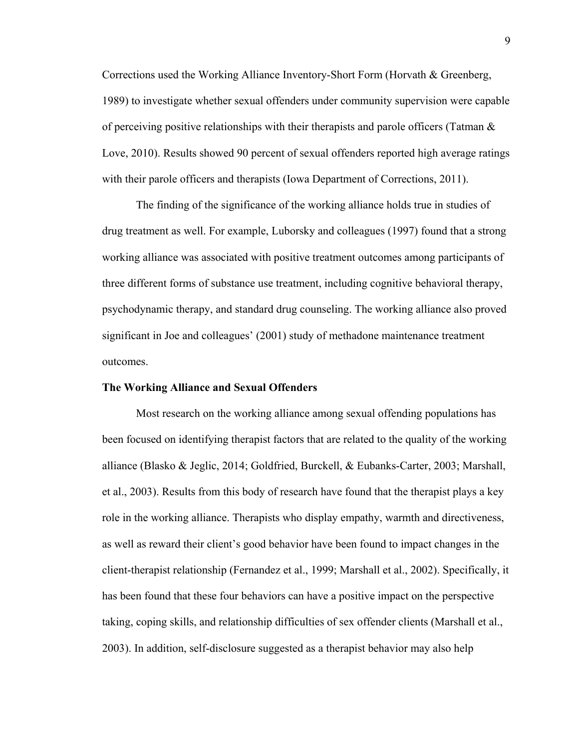Corrections used the Working Alliance Inventory-Short Form (Horvath & Greenberg, 1989) to investigate whether sexual offenders under community supervision were capable of perceiving positive relationships with their therapists and parole officers (Tatman  $\&$ Love, 2010). Results showed 90 percent of sexual offenders reported high average ratings with their parole officers and therapists (Iowa Department of Corrections, 2011).

The finding of the significance of the working alliance holds true in studies of drug treatment as well. For example, Luborsky and colleagues (1997) found that a strong working alliance was associated with positive treatment outcomes among participants of three different forms of substance use treatment, including cognitive behavioral therapy, psychodynamic therapy, and standard drug counseling. The working alliance also proved significant in Joe and colleagues' (2001) study of methadone maintenance treatment outcomes.

#### **The Working Alliance and Sexual Offenders**

Most research on the working alliance among sexual offending populations has been focused on identifying therapist factors that are related to the quality of the working alliance (Blasko & Jeglic, 2014; Goldfried, Burckell, & Eubanks-Carter, 2003; Marshall, et al., 2003). Results from this body of research have found that the therapist plays a key role in the working alliance. Therapists who display empathy, warmth and directiveness, as well as reward their client's good behavior have been found to impact changes in the client-therapist relationship (Fernandez et al., 1999; Marshall et al., 2002). Specifically, it has been found that these four behaviors can have a positive impact on the perspective taking, coping skills, and relationship difficulties of sex offender clients (Marshall et al., 2003). In addition, self-disclosure suggested as a therapist behavior may also help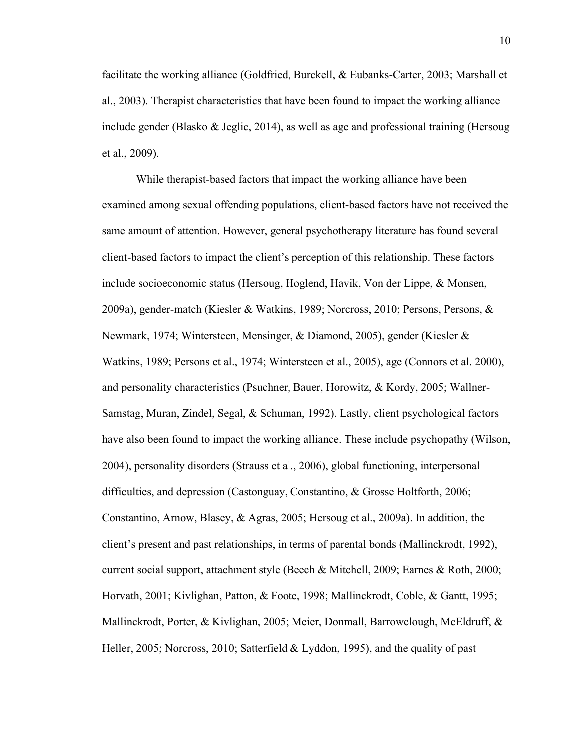facilitate the working alliance (Goldfried, Burckell, & Eubanks-Carter, 2003; Marshall et al., 2003). Therapist characteristics that have been found to impact the working alliance include gender (Blasko & Jeglic, 2014), as well as age and professional training (Hersoug et al., 2009).

While therapist-based factors that impact the working alliance have been examined among sexual offending populations, client-based factors have not received the same amount of attention. However, general psychotherapy literature has found several client-based factors to impact the client's perception of this relationship. These factors include socioeconomic status (Hersoug, Hoglend, Havik, Von der Lippe, & Monsen, 2009a), gender-match (Kiesler & Watkins, 1989; Norcross, 2010; Persons, Persons, & Newmark, 1974; Wintersteen, Mensinger, & Diamond, 2005), gender (Kiesler & Watkins, 1989; Persons et al., 1974; Wintersteen et al., 2005), age (Connors et al. 2000), and personality characteristics (Psuchner, Bauer, Horowitz, & Kordy, 2005; Wallner-Samstag, Muran, Zindel, Segal, & Schuman, 1992). Lastly, client psychological factors have also been found to impact the working alliance. These include psychopathy (Wilson, 2004), personality disorders (Strauss et al., 2006), global functioning, interpersonal difficulties, and depression (Castonguay, Constantino, & Grosse Holtforth, 2006; Constantino, Arnow, Blasey, & Agras, 2005; Hersoug et al., 2009a). In addition, the client's present and past relationships, in terms of parental bonds (Mallinckrodt, 1992), current social support, attachment style (Beech & Mitchell, 2009; Earnes & Roth, 2000; Horvath, 2001; Kivlighan, Patton, & Foote, 1998; Mallinckrodt, Coble, & Gantt, 1995; Mallinckrodt, Porter, & Kivlighan, 2005; Meier, Donmall, Barrowclough, McEldruff, & Heller, 2005; Norcross, 2010; Satterfield & Lyddon, 1995), and the quality of past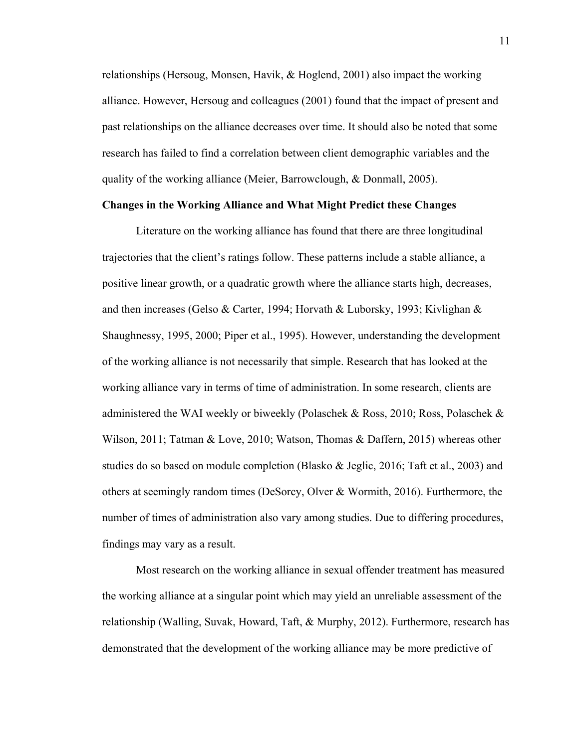relationships (Hersoug, Monsen, Havik, & Hoglend, 2001) also impact the working alliance. However, Hersoug and colleagues (2001) found that the impact of present and past relationships on the alliance decreases over time. It should also be noted that some research has failed to find a correlation between client demographic variables and the quality of the working alliance (Meier, Barrowclough, & Donmall, 2005).

#### **Changes in the Working Alliance and What Might Predict these Changes**

 Literature on the working alliance has found that there are three longitudinal trajectories that the client's ratings follow. These patterns include a stable alliance, a positive linear growth, or a quadratic growth where the alliance starts high, decreases, and then increases (Gelso & Carter, 1994; Horvath & Luborsky, 1993; Kivlighan & Shaughnessy, 1995, 2000; Piper et al., 1995). However, understanding the development of the working alliance is not necessarily that simple. Research that has looked at the working alliance vary in terms of time of administration. In some research, clients are administered the WAI weekly or biweekly (Polaschek & Ross, 2010; Ross, Polaschek & Wilson, 2011; Tatman & Love, 2010; Watson, Thomas & Daffern, 2015) whereas other studies do so based on module completion (Blasko & Jeglic, 2016; Taft et al., 2003) and others at seemingly random times (DeSorcy, Olver & Wormith, 2016). Furthermore, the number of times of administration also vary among studies. Due to differing procedures, findings may vary as a result.

Most research on the working alliance in sexual offender treatment has measured the working alliance at a singular point which may yield an unreliable assessment of the relationship (Walling, Suvak, Howard, Taft, & Murphy, 2012). Furthermore, research has demonstrated that the development of the working alliance may be more predictive of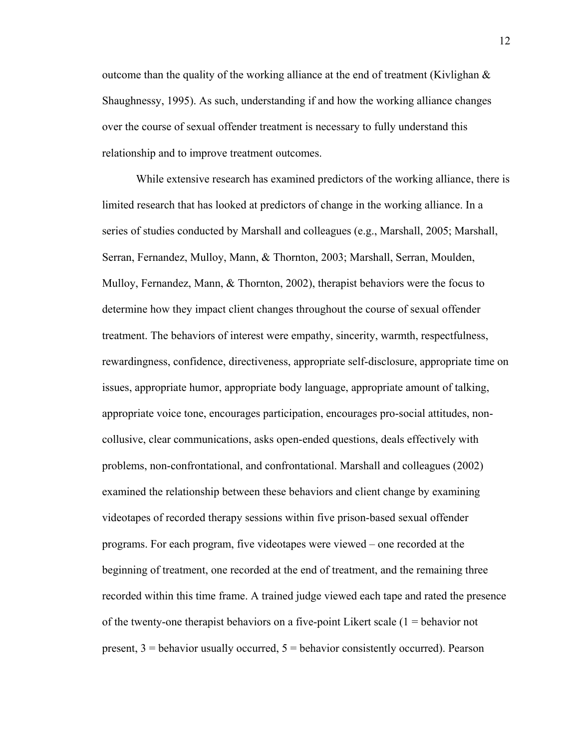outcome than the quality of the working alliance at the end of treatment (Kivlighan  $\&$ Shaughnessy, 1995). As such, understanding if and how the working alliance changes over the course of sexual offender treatment is necessary to fully understand this relationship and to improve treatment outcomes.

While extensive research has examined predictors of the working alliance, there is limited research that has looked at predictors of change in the working alliance. In a series of studies conducted by Marshall and colleagues (e.g., Marshall, 2005; Marshall, Serran, Fernandez, Mulloy, Mann, & Thornton, 2003; Marshall, Serran, Moulden, Mulloy, Fernandez, Mann, & Thornton, 2002), therapist behaviors were the focus to determine how they impact client changes throughout the course of sexual offender treatment. The behaviors of interest were empathy, sincerity, warmth, respectfulness, rewardingness, confidence, directiveness, appropriate self-disclosure, appropriate time on issues, appropriate humor, appropriate body language, appropriate amount of talking, appropriate voice tone, encourages participation, encourages pro-social attitudes, noncollusive, clear communications, asks open-ended questions, deals effectively with problems, non-confrontational, and confrontational. Marshall and colleagues (2002) examined the relationship between these behaviors and client change by examining videotapes of recorded therapy sessions within five prison-based sexual offender programs. For each program, five videotapes were viewed – one recorded at the beginning of treatment, one recorded at the end of treatment, and the remaining three recorded within this time frame. A trained judge viewed each tape and rated the presence of the twenty-one therapist behaviors on a five-point Likert scale (1 = behavior not present,  $3$  = behavior usually occurred,  $5$  = behavior consistently occurred). Pearson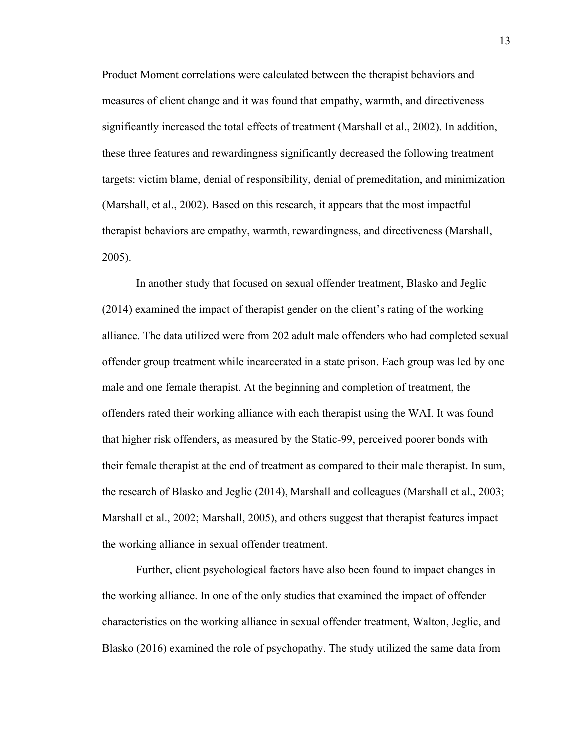Product Moment correlations were calculated between the therapist behaviors and measures of client change and it was found that empathy, warmth, and directiveness significantly increased the total effects of treatment (Marshall et al., 2002). In addition, these three features and rewardingness significantly decreased the following treatment targets: victim blame, denial of responsibility, denial of premeditation, and minimization (Marshall, et al., 2002). Based on this research, it appears that the most impactful therapist behaviors are empathy, warmth, rewardingness, and directiveness (Marshall, 2005).

In another study that focused on sexual offender treatment, Blasko and Jeglic (2014) examined the impact of therapist gender on the client's rating of the working alliance. The data utilized were from 202 adult male offenders who had completed sexual offender group treatment while incarcerated in a state prison. Each group was led by one male and one female therapist. At the beginning and completion of treatment, the offenders rated their working alliance with each therapist using the WAI. It was found that higher risk offenders, as measured by the Static-99, perceived poorer bonds with their female therapist at the end of treatment as compared to their male therapist. In sum, the research of Blasko and Jeglic (2014), Marshall and colleagues (Marshall et al., 2003; Marshall et al., 2002; Marshall, 2005), and others suggest that therapist features impact the working alliance in sexual offender treatment.

 Further, client psychological factors have also been found to impact changes in the working alliance. In one of the only studies that examined the impact of offender characteristics on the working alliance in sexual offender treatment, Walton, Jeglic, and Blasko (2016) examined the role of psychopathy. The study utilized the same data from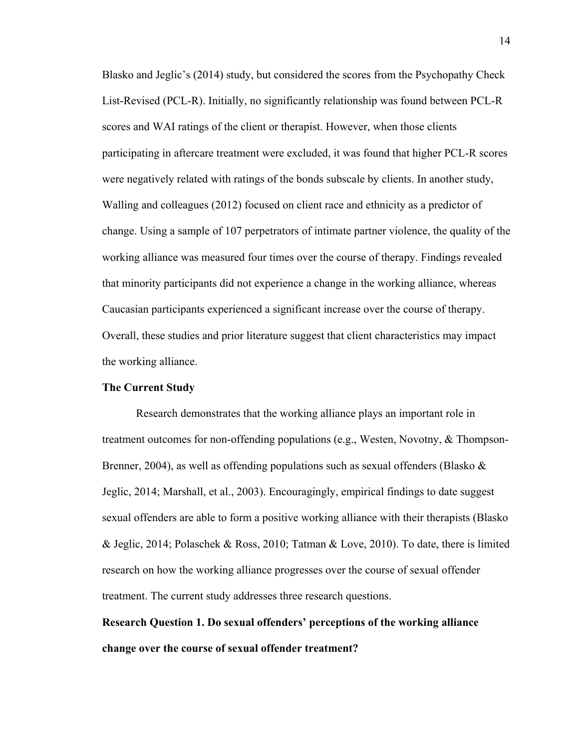Blasko and Jeglic's (2014) study, but considered the scores from the Psychopathy Check List-Revised (PCL-R). Initially, no significantly relationship was found between PCL-R scores and WAI ratings of the client or therapist. However, when those clients participating in aftercare treatment were excluded, it was found that higher PCL-R scores were negatively related with ratings of the bonds subscale by clients. In another study, Walling and colleagues (2012) focused on client race and ethnicity as a predictor of change. Using a sample of 107 perpetrators of intimate partner violence, the quality of the working alliance was measured four times over the course of therapy. Findings revealed that minority participants did not experience a change in the working alliance, whereas Caucasian participants experienced a significant increase over the course of therapy. Overall, these studies and prior literature suggest that client characteristics may impact the working alliance.

#### **The Current Study**

Research demonstrates that the working alliance plays an important role in treatment outcomes for non-offending populations (e.g., Westen, Novotny, & Thompson-Brenner, 2004), as well as offending populations such as sexual offenders (Blasko  $\&$ Jeglic, 2014; Marshall, et al., 2003). Encouragingly, empirical findings to date suggest sexual offenders are able to form a positive working alliance with their therapists (Blasko & Jeglic, 2014; Polaschek & Ross, 2010; Tatman & Love, 2010). To date, there is limited research on how the working alliance progresses over the course of sexual offender treatment. The current study addresses three research questions.

## **Research Question 1. Do sexual offenders' perceptions of the working alliance change over the course of sexual offender treatment?**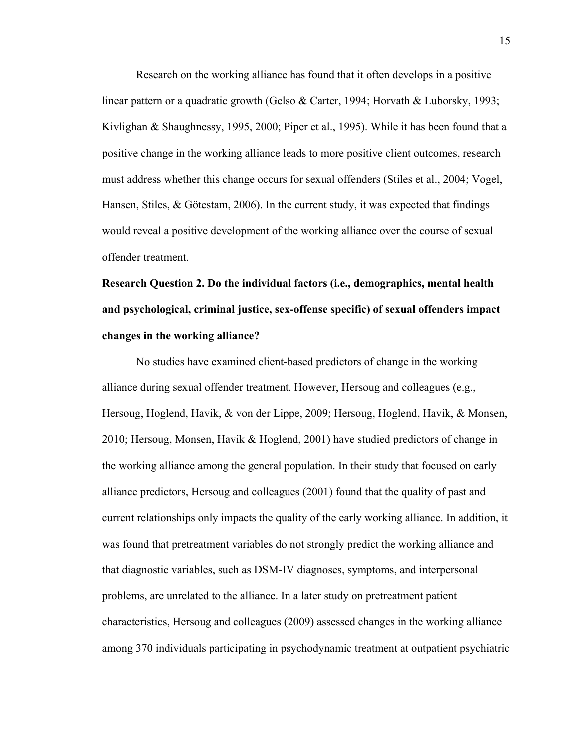Research on the working alliance has found that it often develops in a positive linear pattern or a quadratic growth (Gelso & Carter, 1994; Horvath & Luborsky, 1993; Kivlighan & Shaughnessy, 1995, 2000; Piper et al., 1995). While it has been found that a positive change in the working alliance leads to more positive client outcomes, research must address whether this change occurs for sexual offenders (Stiles et al., 2004; Vogel, Hansen, Stiles, & Götestam, 2006). In the current study, it was expected that findings would reveal a positive development of the working alliance over the course of sexual offender treatment.

# **Research Question 2. Do the individual factors (i.e., demographics, mental health and psychological, criminal justice, sex-offense specific) of sexual offenders impact changes in the working alliance?**

No studies have examined client-based predictors of change in the working alliance during sexual offender treatment. However, Hersoug and colleagues (e.g., Hersoug, Hoglend, Havik, & von der Lippe, 2009; Hersoug, Hoglend, Havik, & Monsen, 2010; Hersoug, Monsen, Havik & Hoglend, 2001) have studied predictors of change in the working alliance among the general population. In their study that focused on early alliance predictors, Hersoug and colleagues (2001) found that the quality of past and current relationships only impacts the quality of the early working alliance. In addition, it was found that pretreatment variables do not strongly predict the working alliance and that diagnostic variables, such as DSM-IV diagnoses, symptoms, and interpersonal problems, are unrelated to the alliance. In a later study on pretreatment patient characteristics, Hersoug and colleagues (2009) assessed changes in the working alliance among 370 individuals participating in psychodynamic treatment at outpatient psychiatric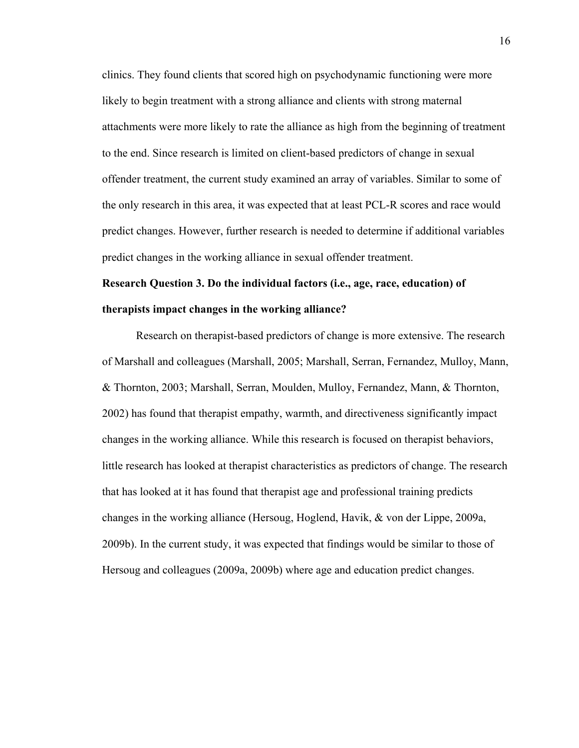clinics. They found clients that scored high on psychodynamic functioning were more likely to begin treatment with a strong alliance and clients with strong maternal attachments were more likely to rate the alliance as high from the beginning of treatment to the end. Since research is limited on client-based predictors of change in sexual offender treatment, the current study examined an array of variables. Similar to some of the only research in this area, it was expected that at least PCL-R scores and race would predict changes. However, further research is needed to determine if additional variables predict changes in the working alliance in sexual offender treatment.

## **Research Question 3. Do the individual factors (i.e., age, race, education) of therapists impact changes in the working alliance?**

 Research on therapist-based predictors of change is more extensive. The research of Marshall and colleagues (Marshall, 2005; Marshall, Serran, Fernandez, Mulloy, Mann, & Thornton, 2003; Marshall, Serran, Moulden, Mulloy, Fernandez, Mann, & Thornton, 2002) has found that therapist empathy, warmth, and directiveness significantly impact changes in the working alliance. While this research is focused on therapist behaviors, little research has looked at therapist characteristics as predictors of change. The research that has looked at it has found that therapist age and professional training predicts changes in the working alliance (Hersoug, Hoglend, Havik, & von der Lippe, 2009a, 2009b). In the current study, it was expected that findings would be similar to those of Hersoug and colleagues (2009a, 2009b) where age and education predict changes.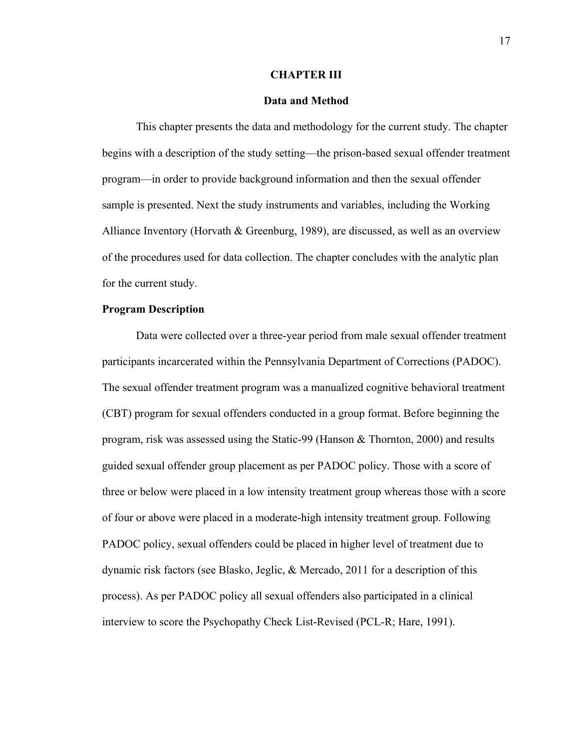#### **CHAPTER III**

#### **Data and Method**

This chapter presents the data and methodology for the current study. The chapter begins with a description of the study setting—the prison-based sexual offender treatment program—in order to provide background information and then the sexual offender sample is presented. Next the study instruments and variables, including the Working Alliance Inventory (Horvath & Greenburg, 1989), are discussed, as well as an overview of the procedures used for data collection. The chapter concludes with the analytic plan for the current study.

#### **Program Description**

Data were collected over a three-year period from male sexual offender treatment participants incarcerated within the Pennsylvania Department of Corrections (PADOC). The sexual offender treatment program was a manualized cognitive behavioral treatment (CBT) program for sexual offenders conducted in a group format. Before beginning the program, risk was assessed using the Static-99 (Hanson & Thornton, 2000) and results guided sexual offender group placement as per PADOC policy. Those with a score of three or below were placed in a low intensity treatment group whereas those with a score of four or above were placed in a moderate-high intensity treatment group. Following PADOC policy, sexual offenders could be placed in higher level of treatment due to dynamic risk factors (see Blasko, Jeglic, & Mercado, 2011 for a description of this process). As per PADOC policy all sexual offenders also participated in a clinical interview to score the Psychopathy Check List-Revised (PCL-R; Hare, 1991).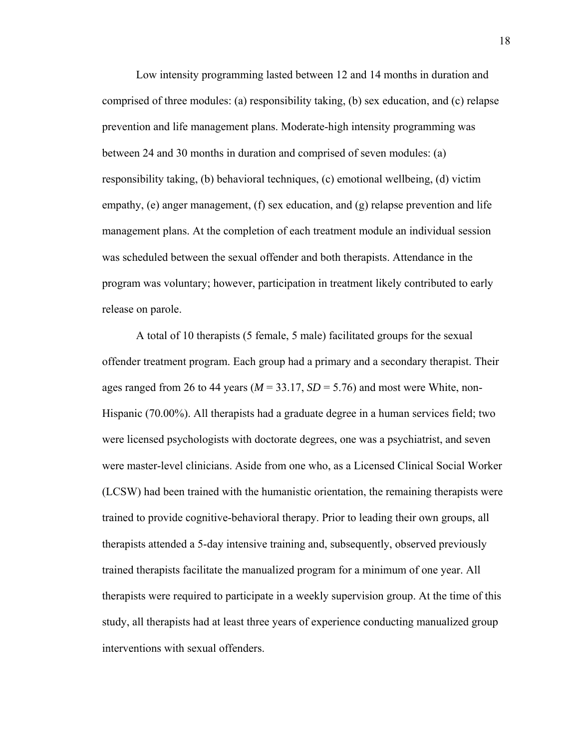Low intensity programming lasted between 12 and 14 months in duration and comprised of three modules: (a) responsibility taking, (b) sex education, and (c) relapse prevention and life management plans. Moderate-high intensity programming was between 24 and 30 months in duration and comprised of seven modules: (a) responsibility taking, (b) behavioral techniques, (c) emotional wellbeing, (d) victim empathy, (e) anger management, (f) sex education, and (g) relapse prevention and life management plans. At the completion of each treatment module an individual session was scheduled between the sexual offender and both therapists. Attendance in the program was voluntary; however, participation in treatment likely contributed to early release on parole.

A total of 10 therapists (5 female, 5 male) facilitated groups for the sexual offender treatment program. Each group had a primary and a secondary therapist. Their ages ranged from 26 to 44 years ( $M = 33.17$ ,  $SD = 5.76$ ) and most were White, non-Hispanic (70.00%). All therapists had a graduate degree in a human services field; two were licensed psychologists with doctorate degrees, one was a psychiatrist, and seven were master-level clinicians. Aside from one who, as a Licensed Clinical Social Worker (LCSW) had been trained with the humanistic orientation, the remaining therapists were trained to provide cognitive-behavioral therapy. Prior to leading their own groups, all therapists attended a 5-day intensive training and, subsequently, observed previously trained therapists facilitate the manualized program for a minimum of one year. All therapists were required to participate in a weekly supervision group. At the time of this study, all therapists had at least three years of experience conducting manualized group interventions with sexual offenders.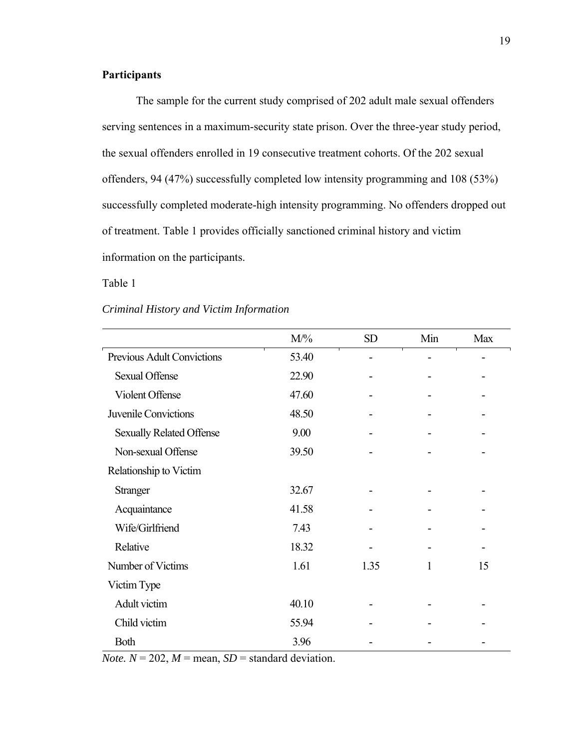#### **Participants**

The sample for the current study comprised of 202 adult male sexual offenders serving sentences in a maximum-security state prison. Over the three-year study period, the sexual offenders enrolled in 19 consecutive treatment cohorts. Of the 202 sexual offenders, 94 (47%) successfully completed low intensity programming and 108 (53%) successfully completed moderate-high intensity programming. No offenders dropped out of treatment. Table 1 provides officially sanctioned criminal history and victim information on the participants.

Table 1

#### *Criminal History and Victim Information*

|                                 | $M\frac{9}{6}$ | <b>SD</b> | Min | Max |
|---------------------------------|----------------|-----------|-----|-----|
| Previous Adult Convictions      | 53.40          |           |     |     |
| <b>Sexual Offense</b>           | 22.90          |           |     |     |
| Violent Offense                 | 47.60          |           |     |     |
| Juvenile Convictions            | 48.50          |           |     |     |
| <b>Sexually Related Offense</b> | 9.00           |           |     |     |
| Non-sexual Offense              | 39.50          |           |     |     |
| Relationship to Victim          |                |           |     |     |
| <b>Stranger</b>                 | 32.67          |           |     |     |
| Acquaintance                    | 41.58          |           |     |     |
| Wife/Girlfriend                 | 7.43           |           |     |     |
| Relative                        | 18.32          |           |     |     |
| Number of Victims               | 1.61           | 1.35      | 1   | 15  |
| Victim Type                     |                |           |     |     |
| Adult victim                    | 40.10          |           |     |     |
| Child victim                    | 55.94          |           |     |     |
| Both                            | 3.96           |           |     |     |

*Note.*  $N = 202$ ,  $M =$  mean,  $SD =$  standard deviation.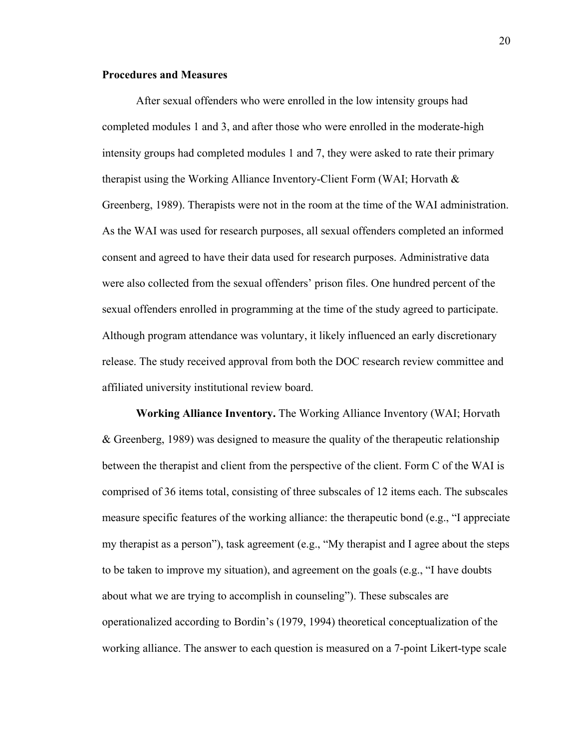#### **Procedures and Measures**

 After sexual offenders who were enrolled in the low intensity groups had completed modules 1 and 3, and after those who were enrolled in the moderate-high intensity groups had completed modules 1 and 7, they were asked to rate their primary therapist using the Working Alliance Inventory-Client Form (WAI; Horvath  $\&$ Greenberg, 1989). Therapists were not in the room at the time of the WAI administration. As the WAI was used for research purposes, all sexual offenders completed an informed consent and agreed to have their data used for research purposes. Administrative data were also collected from the sexual offenders' prison files. One hundred percent of the sexual offenders enrolled in programming at the time of the study agreed to participate. Although program attendance was voluntary, it likely influenced an early discretionary release. The study received approval from both the DOC research review committee and affiliated university institutional review board.

**Working Alliance Inventory.** The Working Alliance Inventory (WAI; Horvath & Greenberg, 1989) was designed to measure the quality of the therapeutic relationship between the therapist and client from the perspective of the client. Form C of the WAI is comprised of 36 items total, consisting of three subscales of 12 items each. The subscales measure specific features of the working alliance: the therapeutic bond (e.g., "I appreciate my therapist as a person"), task agreement (e.g., "My therapist and I agree about the steps to be taken to improve my situation), and agreement on the goals (e.g., "I have doubts about what we are trying to accomplish in counseling"). These subscales are operationalized according to Bordin's (1979, 1994) theoretical conceptualization of the working alliance. The answer to each question is measured on a 7-point Likert-type scale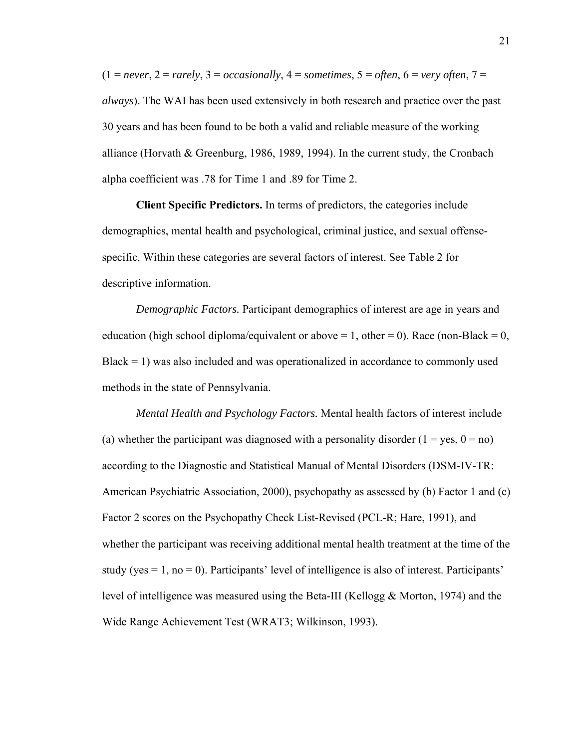$(1 = never, 2 = rarely, 3 = occasionally, 4 = sometimes, 5 = often, 6 = very often, 7 =$ *always*). The WAI has been used extensively in both research and practice over the past 30 years and has been found to be both a valid and reliable measure of the working alliance (Horvath & Greenburg, 1986, 1989, 1994). In the current study, the Cronbach alpha coefficient was .78 for Time 1 and .89 for Time 2.

**Client Specific Predictors.** In terms of predictors, the categories include demographics, mental health and psychological, criminal justice, and sexual offensespecific. Within these categories are several factors of interest. See Table 2 for descriptive information.

*Demographic Factors.* Participant demographics of interest are age in years and education (high school diploma/equivalent or above  $= 1$ , other  $= 0$ ). Race (non-Black  $= 0$ ,  $Black = 1)$  was also included and was operationalized in accordance to commonly used methods in the state of Pennsylvania.

*Mental Health and Psychology Factors.* Mental health factors of interest include (a) whether the participant was diagnosed with a personality disorder ( $1 = yes$ ,  $0 = no$ ) according to the Diagnostic and Statistical Manual of Mental Disorders (DSM-IV-TR: American Psychiatric Association, 2000), psychopathy as assessed by (b) Factor 1 and (c) Factor 2 scores on the Psychopathy Check List-Revised (PCL-R; Hare, 1991), and whether the participant was receiving additional mental health treatment at the time of the study (yes  $= 1$ , no  $= 0$ ). Participants' level of intelligence is also of interest. Participants' level of intelligence was measured using the Beta-III (Kellogg & Morton, 1974) and the Wide Range Achievement Test (WRAT3; Wilkinson, 1993).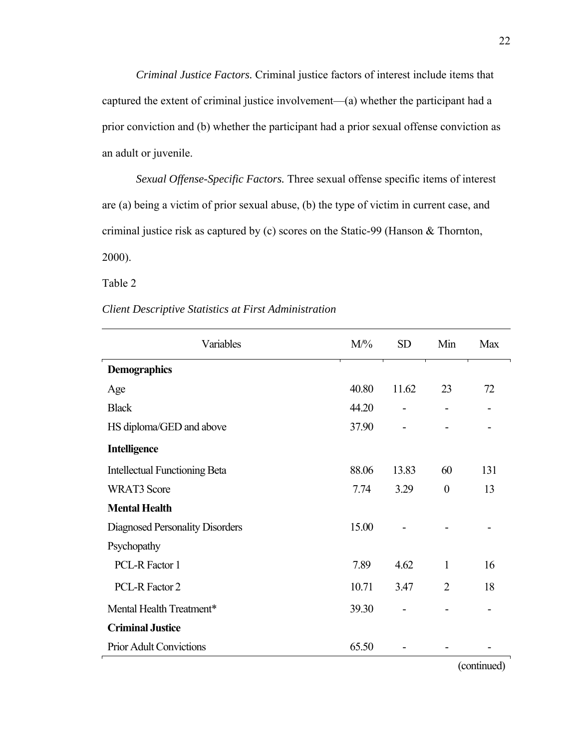*Criminal Justice Factors.* Criminal justice factors of interest include items that captured the extent of criminal justice involvement—(a) whether the participant had a prior conviction and (b) whether the participant had a prior sexual offense conviction as an adult or juvenile.

*Sexual Offense-Specific Factors.* Three sexual offense specific items of interest are (a) being a victim of prior sexual abuse, (b) the type of victim in current case, and criminal justice risk as captured by (c) scores on the Static-99 (Hanson & Thornton, 2000).

Table 2

#### *Client Descriptive Statistics at First Administration*

| Variables                            | $M/\%$ | <b>SD</b> | Min            | <b>Max</b> |
|--------------------------------------|--------|-----------|----------------|------------|
| <b>Demographics</b>                  |        |           |                |            |
| Age                                  | 40.80  | 11.62     | 23             | 72         |
| <b>Black</b>                         | 44.20  |           |                |            |
| HS diploma/GED and above             | 37.90  |           |                |            |
| <b>Intelligence</b>                  |        |           |                |            |
| <b>Intellectual Functioning Beta</b> | 88.06  | 13.83     | 60             | 131        |
| <b>WRAT3</b> Score                   | 7.74   | 3.29      | $\overline{0}$ | 13         |
| <b>Mental Health</b>                 |        |           |                |            |
| Diagnosed Personality Disorders      | 15.00  |           |                |            |
| Psychopathy                          |        |           |                |            |
| PCL-R Factor 1                       | 7.89   | 4.62      | $\mathbf{1}$   | 16         |
| PCL-R Factor 2                       | 10.71  | 3.47      | $\overline{2}$ | 18         |
| Mental Health Treatment*             | 39.30  |           |                |            |
| <b>Criminal Justice</b>              |        |           |                |            |
| <b>Prior Adult Convictions</b>       | 65.50  |           |                |            |

(continued)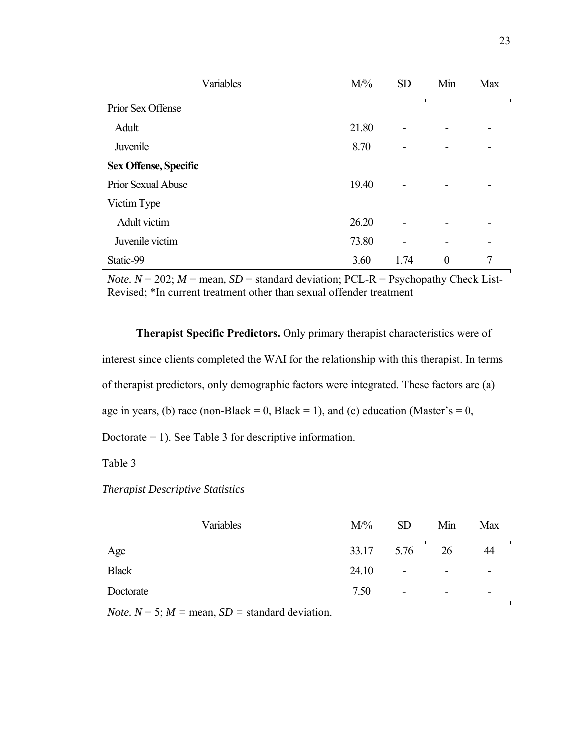| Variables                    | $M\frac{9}{6}$ | <b>SD</b> | Min              | <b>Max</b> |
|------------------------------|----------------|-----------|------------------|------------|
| Prior Sex Offense            |                |           |                  |            |
| Adult                        | 21.80          |           |                  |            |
| Juvenile                     | 8.70           |           |                  |            |
| <b>Sex Offense, Specific</b> |                |           |                  |            |
| Prior Sexual Abuse           | 19.40          |           |                  |            |
| Victim Type                  |                |           |                  |            |
| Adult victim                 | 26.20          |           |                  |            |
| Juvenile victim              | 73.80          |           |                  |            |
| Static-99                    | 3.60           | 1.74      | $\boldsymbol{0}$ | 7          |

*Note.*  $N = 202$ ;  $M =$  mean,  $SD =$  standard deviation; PCL-R = Psychopathy Check List-Revised; \*In current treatment other than sexual offender treatment

**Therapist Specific Predictors.** Only primary therapist characteristics were of interest since clients completed the WAI for the relationship with this therapist. In terms of therapist predictors, only demographic factors were integrated. These factors are (a) age in years, (b) race (non-Black = 0, Black = 1), and (c) education (Master's = 0, Doctorate = 1). See Table 3 for descriptive information.

Table 3

*Therapist Descriptive Statistics* 

| Variables    | $M/\%$ | <b>SD</b> | Min | Max |
|--------------|--------|-----------|-----|-----|
| Age          | 33.17  | 5.76      | 26  | 44  |
| <b>Black</b> | 24.10  | -         |     | -   |
| Doctorate    | 7.50   | -         |     | -   |

*Note.*  $N = 5$ ;  $M =$  mean,  $SD =$  standard deviation.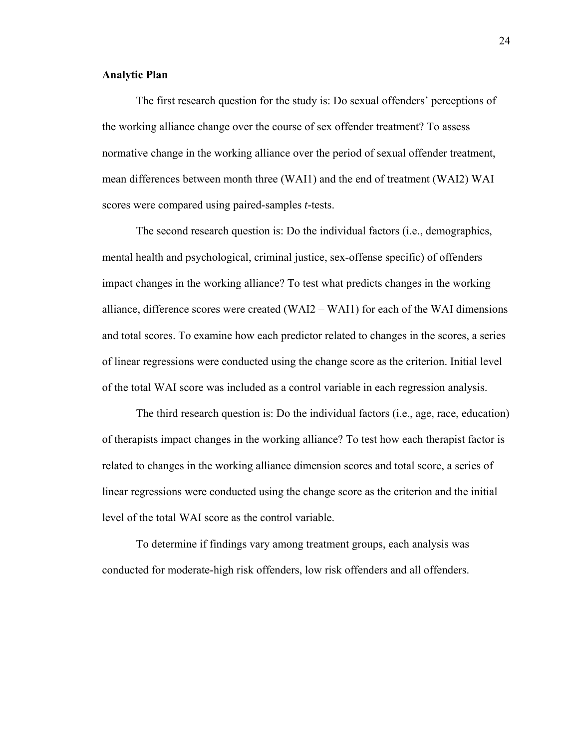#### **Analytic Plan**

 The first research question for the study is: Do sexual offenders' perceptions of the working alliance change over the course of sex offender treatment? To assess normative change in the working alliance over the period of sexual offender treatment, mean differences between month three (WAI1) and the end of treatment (WAI2) WAI scores were compared using paired-samples *t*-tests.

The second research question is: Do the individual factors (i.e., demographics, mental health and psychological, criminal justice, sex-offense specific) of offenders impact changes in the working alliance? To test what predicts changes in the working alliance, difference scores were created (WAI2 – WAI1) for each of the WAI dimensions and total scores. To examine how each predictor related to changes in the scores, a series of linear regressions were conducted using the change score as the criterion. Initial level of the total WAI score was included as a control variable in each regression analysis.

The third research question is: Do the individual factors (i.e., age, race, education) of therapists impact changes in the working alliance? To test how each therapist factor is related to changes in the working alliance dimension scores and total score, a series of linear regressions were conducted using the change score as the criterion and the initial level of the total WAI score as the control variable.

To determine if findings vary among treatment groups, each analysis was conducted for moderate-high risk offenders, low risk offenders and all offenders.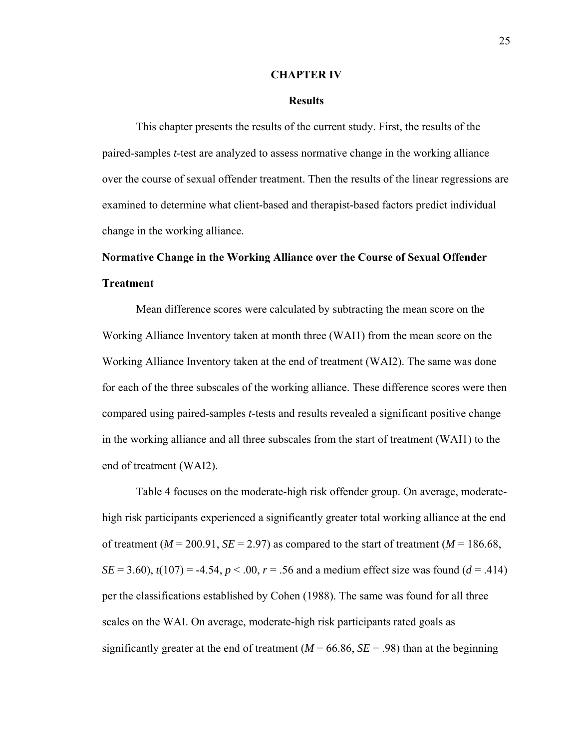#### **CHAPTER IV**

#### **Results**

This chapter presents the results of the current study. First, the results of the paired-samples *t*-test are analyzed to assess normative change in the working alliance over the course of sexual offender treatment. Then the results of the linear regressions are examined to determine what client-based and therapist-based factors predict individual change in the working alliance.

## **Normative Change in the Working Alliance over the Course of Sexual Offender Treatment**

 Mean difference scores were calculated by subtracting the mean score on the Working Alliance Inventory taken at month three (WAI1) from the mean score on the Working Alliance Inventory taken at the end of treatment (WAI2). The same was done for each of the three subscales of the working alliance. These difference scores were then compared using paired-samples *t*-tests and results revealed a significant positive change in the working alliance and all three subscales from the start of treatment (WAI1) to the end of treatment (WAI2).

Table 4 focuses on the moderate-high risk offender group. On average, moderatehigh risk participants experienced a significantly greater total working alliance at the end of treatment ( $M = 200.91$ ,  $SE = 2.97$ ) as compared to the start of treatment ( $M = 186.68$ , *SE* = 3.60),  $t(107)$  = -4.54,  $p < .00$ ,  $r = .56$  and a medium effect size was found ( $d = .414$ ) per the classifications established by Cohen (1988). The same was found for all three scales on the WAI. On average, moderate-high risk participants rated goals as significantly greater at the end of treatment  $(M = 66.86, SE = .98)$  than at the beginning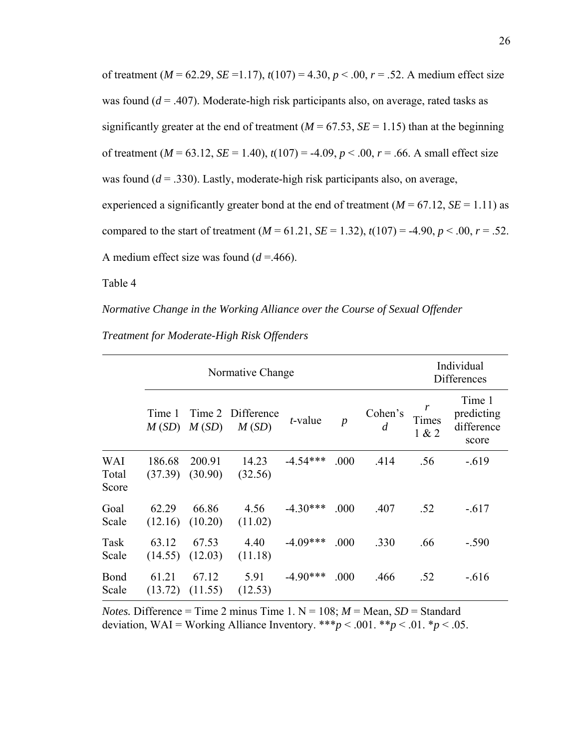of treatment ( $M = 62.29$ ,  $SE = 1.17$ ),  $t(107) = 4.30$ ,  $p < .00$ ,  $r = .52$ . A medium effect size was found (*d* = .407). Moderate-high risk participants also, on average, rated tasks as significantly greater at the end of treatment ( $M = 67.53$ ,  $SE = 1.15$ ) than at the beginning of treatment ( $M = 63.12$ ,  $SE = 1.40$ ),  $t(107) = -4.09$ ,  $p < .00$ ,  $r = .66$ . A small effect size was found ( $d = 0.330$ ). Lastly, moderate-high risk participants also, on average, experienced a significantly greater bond at the end of treatment  $(M = 67.12, SE = 1.11)$  as compared to the start of treatment  $(M = 61.21, SE = 1.32)$ ,  $t(107) = -4.90, p < 0.00, r = 0.52$ . A medium effect size was found  $(d = .466)$ .

Table 4

*Normative Change in the Working Alliance over the Course of Sexual Offender* 

*Treatment for Moderate-High Risk Offenders* 

|                       | Normative Change  |                   |                            |            |                  |                           |                | Individual<br><b>Differences</b>            |
|-----------------------|-------------------|-------------------|----------------------------|------------|------------------|---------------------------|----------------|---------------------------------------------|
|                       | Time 1<br>M(SD)   | M(SD)             | Time 2 Difference<br>M(SD) | $t$ -value | $\boldsymbol{p}$ | Cohen's<br>$\overline{d}$ | Times<br>1 & 2 | Time 1<br>predicting<br>difference<br>score |
| WAI<br>Total<br>Score | 186.68<br>(37.39) | 200.91<br>(30.90) | 14.23<br>(32.56)           | $-4.54***$ | .000             | .414                      | .56            | $-.619$                                     |
| Goal<br>Scale         | 62.29<br>(12.16)  | 66.86<br>(10.20)  | 4.56<br>(11.02)            | $-4.30***$ | .000             | .407                      | .52            | $-.617$                                     |
| Task<br>Scale         | 63.12<br>(14.55)  | 67.53<br>(12.03)  | 4.40<br>(11.18)            | $-4.09***$ | .000             | .330                      | .66            | $-.590$                                     |
| Bond<br>Scale         | 61.21<br>(13.72)  | 67.12<br>(11.55)  | 5.91<br>(12.53)            | $-4.90***$ | .000             | .466                      | .52            | $-.616$                                     |

*Notes.* Difference = Time 2 minus Time 1.  $N = 108$ ;  $M =$  Mean,  $SD =$  Standard deviation, WAI = Working Alliance Inventory.  $**^*p < .001$ .  $**p < .01$ .  $*p < .05$ .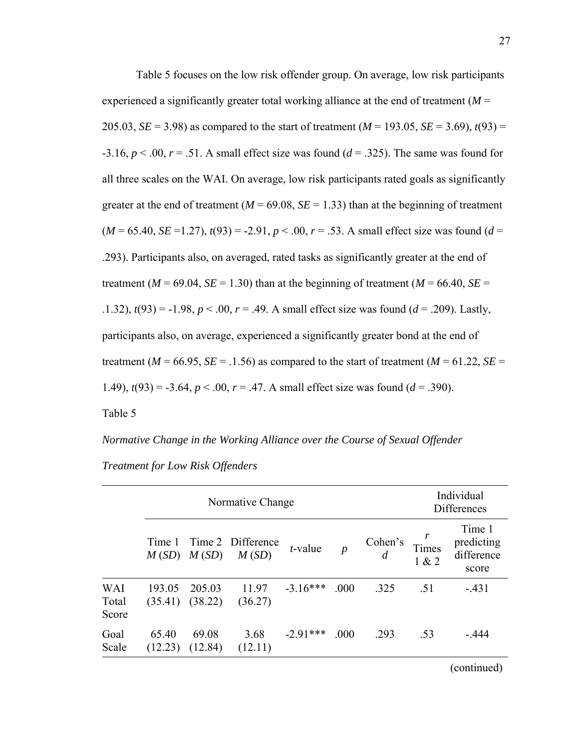Table 5 focuses on the low risk offender group. On average, low risk participants experienced a significantly greater total working alliance at the end of treatment  $(M =$ 205.03, *SE* = 3.98) as compared to the start of treatment ( $M = 193.05$ , *SE* = 3.69),  $t(93)$  =  $-3.16$ ,  $p < .00$ ,  $r = .51$ . A small effect size was found ( $d = .325$ ). The same was found for all three scales on the WAI. On average, low risk participants rated goals as significantly greater at the end of treatment ( $M = 69.08$ ,  $SE = 1.33$ ) than at the beginning of treatment  $(M = 65.40, SE = 1.27), t(93) = -2.91, p < .00, r = .53$ . A small effect size was found (*d* = .293). Participants also, on averaged, rated tasks as significantly greater at the end of treatment ( $M = 69.04$ ,  $SE = 1.30$ ) than at the beginning of treatment ( $M = 66.40$ ,  $SE =$ .1.32),  $t(93) = -1.98$ ,  $p < .00$ ,  $r = .49$ . A small effect size was found ( $d = .209$ ). Lastly, participants also, on average, experienced a significantly greater bond at the end of treatment ( $M = 66.95$ ,  $SE = 0.1.56$ ) as compared to the start of treatment ( $M = 61.22$ ,  $SE = 0.122$ 1.49),  $t(93) = -3.64$ ,  $p < .00$ ,  $r = .47$ . A small effect size was found ( $d = .390$ ).

Table 5

*Normative Change in the Working Alliance over the Course of Sexual Offender* 

| Treatment for Low Risk Offenders |  |  |
|----------------------------------|--|--|
|                                  |  |  |

|                              |                   |                   | Normative Change           |            |                  | Individual<br><b>Differences</b> |                |                                             |
|------------------------------|-------------------|-------------------|----------------------------|------------|------------------|----------------------------------|----------------|---------------------------------------------|
|                              | Time 1            | $M(SD)$ $M(SD)$   | Time 2 Difference<br>M(SD) | $t$ -value | $\boldsymbol{p}$ | Cohen's                          | Times<br>1 & 2 | Time 1<br>predicting<br>difference<br>score |
| <b>WAI</b><br>Total<br>Score | 193.05<br>(35.41) | 205.03<br>(38.22) | 11.97<br>(36.27)           | $-3.16***$ | .000             | .325                             | .51            | $-431$                                      |
| Goal<br>Scale                | 65.40<br>(12.23)  | 69.08<br>(12.84)  | 3.68<br>(12.11)            | $-2.91***$ | .000             | .293                             | .53            | - 444                                       |

(continued)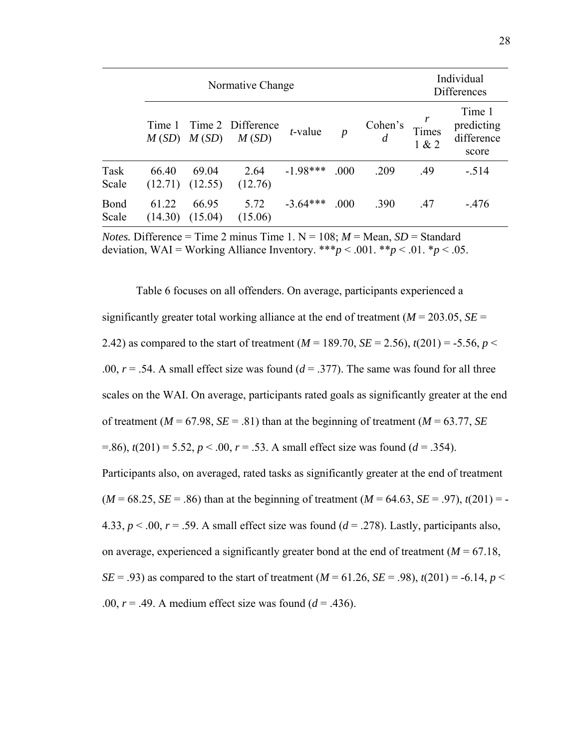|               | Normative Change |                  |                            |                 |                  |         |                | Individual<br><b>Differences</b>            |  |  |
|---------------|------------------|------------------|----------------------------|-----------------|------------------|---------|----------------|---------------------------------------------|--|--|
|               | Time 1<br>M(SD)  | M(SD)            | Time 2 Difference<br>M(SD) | <i>t</i> -value | $\boldsymbol{p}$ | Cohen's | Times<br>1 & 2 | Time 1<br>predicting<br>difference<br>score |  |  |
| Task<br>Scale | 66.40<br>(12.71) | 69.04<br>(12.55) | 2.64<br>(12.76)            | $-1.98***$      | .000             | .209    | .49            | $-.514$                                     |  |  |
| Bond<br>Scale | 61.22<br>(14.30) | 66.95<br>(15.04) | 5.72<br>(15.06)            | $-3.64***$      | .000             | .390    | .47            | $-476$                                      |  |  |

*Notes.* Difference = Time 2 minus Time 1.  $N = 108$ ;  $M =$  Mean,  $SD =$  Standard deviation, WAI = Working Alliance Inventory.  $***p < .001$ .  $**p < .01$ .  $*p < .05$ .

Table 6 focuses on all offenders. On average, participants experienced a significantly greater total working alliance at the end of treatment ( $M = 203.05$ ,  $SE =$ 2.42) as compared to the start of treatment ( $M = 189.70$ ,  $SE = 2.56$ ),  $t(201) = -5.56$ ,  $p <$ .00,  $r = .54$ . A small effect size was found ( $d = .377$ ). The same was found for all three scales on the WAI. On average, participants rated goals as significantly greater at the end of treatment ( $M = 67.98$ ,  $SE = .81$ ) than at the beginning of treatment ( $M = 63.77$ ,  $SE$  $f(201) = 5.52, p < 0.00, r = 0.53$ . A small effect size was found  $(d = 0.354)$ . Participants also, on averaged, rated tasks as significantly greater at the end of treatment  $(M = 68.25, SE = .86)$  than at the beginning of treatment  $(M = 64.63, SE = .97)$ ,  $t(201) = -$ 4.33,  $p < 0.0$ ,  $r = 0.59$ . A small effect size was found  $(d = 0.278)$ . Lastly, participants also, on average, experienced a significantly greater bond at the end of treatment  $(M = 67.18)$ , *SE* = .93) as compared to the start of treatment ( $M = 61.26$ ,  $SE = .98$ ),  $t(201) = -6.14$ ,  $p <$ .00,  $r = .49$ . A medium effect size was found  $(d = .436)$ .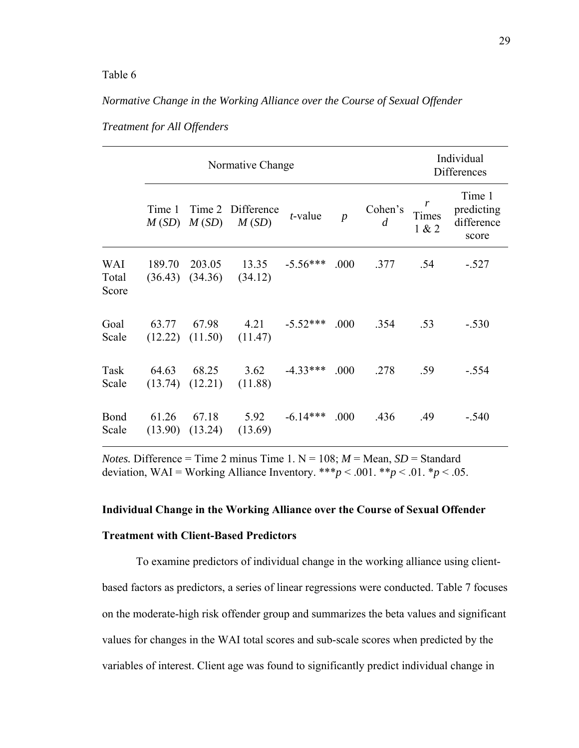#### *Normative Change in the Working Alliance over the Course of Sexual Offender*

|                       |        |        | Normative Change                                  |                 | Individual<br><b>Differences</b> |                           |                                    |                                             |
|-----------------------|--------|--------|---------------------------------------------------|-----------------|----------------------------------|---------------------------|------------------------------------|---------------------------------------------|
|                       | Time 1 |        | Time 2 Difference<br>$M(SD)$ $M(SD)$ $M(SD)$      | <i>t</i> -value | $\overline{p}$                   | Cohen's<br>$\overline{d}$ | $\boldsymbol{r}$<br>Times<br>1 & 2 | Time 1<br>predicting<br>difference<br>score |
| WAI<br>Total<br>Score | 189.70 | 203.05 | $13.35 -5.56***$<br>$(36.43)$ $(34.36)$ $(34.12)$ |                 | .000                             | .377                      | .54                                | $-.527$                                     |
| Goal<br>Scale         |        |        | 63.77 67.98 4.21<br>$(12.22)$ $(11.50)$ $(11.47)$ | $-5.52***$ .000 |                                  | .354 .53                  |                                    | $-.530$                                     |
| Task<br>Scale         | 64.63  | 68.25  | 3.62<br>$(13.74)$ $(12.21)$ $(11.88)$             | $-4.33***$ .000 |                                  | .278                      | .59                                | $-.554$                                     |
| Bond<br>Scale         | 61.26  | 67.18  | 5.92<br>$(13.90)$ $(13.24)$ $(13.69)$             | $-6.14***$      | .000                             | .436                      | .49                                | $-.540$                                     |

*Treatment for All Offenders* 

*Notes.* Difference = Time 2 minus Time 1.  $N = 108$ ;  $M =$  Mean,  $SD =$  Standard deviation, WAI = Working Alliance Inventory. \*\*\* $p < .001$ . \*\* $p < .01$ . \* $p < .05$ .

#### **Individual Change in the Working Alliance over the Course of Sexual Offender**

#### **Treatment with Client-Based Predictors**

To examine predictors of individual change in the working alliance using clientbased factors as predictors, a series of linear regressions were conducted. Table 7 focuses on the moderate-high risk offender group and summarizes the beta values and significant values for changes in the WAI total scores and sub-scale scores when predicted by the variables of interest. Client age was found to significantly predict individual change in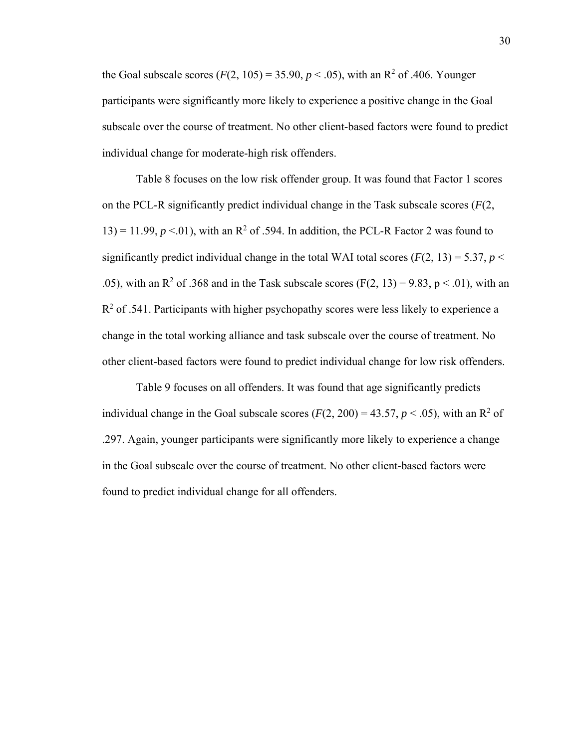the Goal subscale scores  $(F(2, 105) = 35.90, p < .05)$ , with an R<sup>2</sup> of .406. Younger participants were significantly more likely to experience a positive change in the Goal subscale over the course of treatment. No other client-based factors were found to predict individual change for moderate-high risk offenders.

Table 8 focuses on the low risk offender group. It was found that Factor 1 scores on the PCL-R significantly predict individual change in the Task subscale scores (*F*(2, 13) = 11.99,  $p < 01$ ), with an R<sup>2</sup> of .594. In addition, the PCL-R Factor 2 was found to significantly predict individual change in the total WAI total scores  $(F(2, 13) = 5.37, p <$ .05), with an R<sup>2</sup> of .368 and in the Task subscale scores (F(2, 13) = 9.83, p < .01), with an  $R<sup>2</sup>$  of .541. Participants with higher psychopathy scores were less likely to experience a change in the total working alliance and task subscale over the course of treatment. No other client-based factors were found to predict individual change for low risk offenders.

Table 9 focuses on all offenders. It was found that age significantly predicts individual change in the Goal subscale scores  $(F(2, 200) = 43.57, p < .05)$ , with an R<sup>2</sup> of .297. Again, younger participants were significantly more likely to experience a change in the Goal subscale over the course of treatment. No other client-based factors were found to predict individual change for all offenders.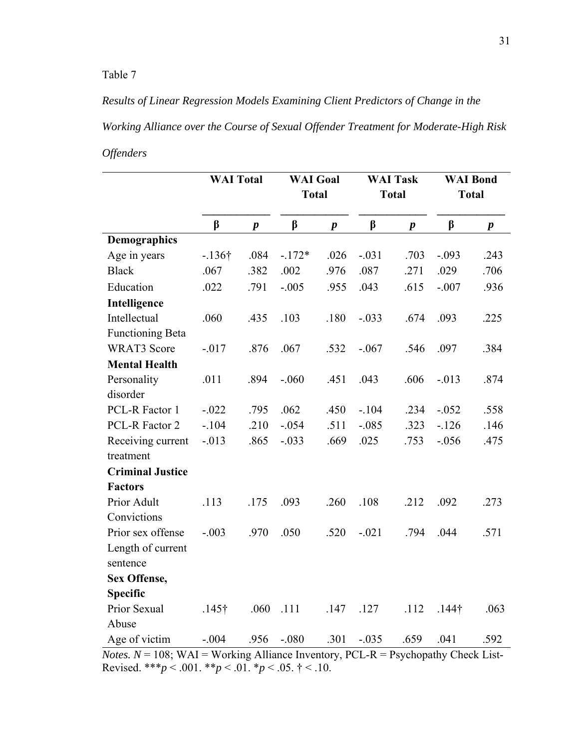*Results of Linear Regression Models Examining Client Predictors of Change in the Working Alliance over the Course of Sexual Offender Treatment for Moderate-High Risk Offenders* 

|                                                                                             | <b>WAI</b> Total |                  | <b>WAI</b> Goal<br><b>Total</b> |                  | <b>WAI Task</b><br><b>Total</b> |                  | <b>WAI Bond</b><br><b>Total</b> |                  |
|---------------------------------------------------------------------------------------------|------------------|------------------|---------------------------------|------------------|---------------------------------|------------------|---------------------------------|------------------|
|                                                                                             | $\beta$          | $\boldsymbol{p}$ | $\beta$                         | $\boldsymbol{p}$ | $\beta$                         | $\boldsymbol{p}$ | $\beta$                         | $\boldsymbol{p}$ |
| <b>Demographics</b>                                                                         |                  |                  |                                 |                  |                                 |                  |                                 |                  |
| Age in years                                                                                | $-136\dagger$    | .084             | $-172*$                         | .026             | $-.031$                         | .703             | $-.093$                         | .243             |
| <b>Black</b>                                                                                | .067             | .382             | .002                            | .976             | .087                            | .271             | .029                            | .706             |
| Education                                                                                   | .022             | .791             | $-.005$                         | .955             | .043                            | .615             | $-.007$                         | .936             |
| Intelligence                                                                                |                  |                  |                                 |                  |                                 |                  |                                 |                  |
| Intellectual                                                                                | .060             | .435             | .103                            | .180             | $-.033$                         | .674             | .093                            | .225             |
| <b>Functioning Beta</b>                                                                     |                  |                  |                                 |                  |                                 |                  |                                 |                  |
| <b>WRAT3</b> Score                                                                          | $-0.017$         | .876             | .067                            | .532             | $-.067$                         | .546             | .097                            | .384             |
| <b>Mental Health</b>                                                                        |                  |                  |                                 |                  |                                 |                  |                                 |                  |
| Personality                                                                                 | .011             | .894             | $-.060$                         | .451             | .043                            | .606             | $-0.013$                        | .874             |
| disorder                                                                                    |                  |                  |                                 |                  |                                 |                  |                                 |                  |
| PCL-R Factor 1                                                                              | $-.022$          | .795             | .062                            | .450             | $-.104$                         | .234             | $-.052$                         | .558             |
| PCL-R Factor 2                                                                              | $-.104$          | .210             | $-.054$                         | .511             | $-.085$                         | .323             | $-126$                          | .146             |
| Receiving current<br>treatment                                                              | $-.013$          | .865             | $-.033$                         | .669             | .025                            | .753             | $-.056$                         | .475             |
| <b>Criminal Justice</b>                                                                     |                  |                  |                                 |                  |                                 |                  |                                 |                  |
| <b>Factors</b>                                                                              |                  |                  |                                 |                  |                                 |                  |                                 |                  |
| Prior Adult                                                                                 | .113             | .175             | .093                            | .260             | .108                            | .212             | .092                            | .273             |
| Convictions                                                                                 |                  |                  |                                 |                  |                                 |                  |                                 |                  |
| Prior sex offense                                                                           | $-.003$          | .970             | .050                            | .520             | $-.021$                         | .794             | .044                            | .571             |
| Length of current                                                                           |                  |                  |                                 |                  |                                 |                  |                                 |                  |
| sentence                                                                                    |                  |                  |                                 |                  |                                 |                  |                                 |                  |
| Sex Offense,                                                                                |                  |                  |                                 |                  |                                 |                  |                                 |                  |
| <b>Specific</b>                                                                             |                  |                  |                                 |                  |                                 |                  |                                 |                  |
| Prior Sexual                                                                                | $.145\dagger$    | .060             | .111                            | .147             | .127                            | .112             | $.144\dagger$                   | .063             |
| Abuse                                                                                       |                  |                  |                                 |                  |                                 |                  |                                 |                  |
| Age of victim                                                                               | $-.004$          | .956             | $-.080$                         | .301             | $-.035$                         | .659             | .041                            | .592             |
| <i>Notes.</i> $N = 108$ ; WAI = Working Alliance Inventory, PCL-R = Psychopathy Check List- |                  |                  |                                 |                  |                                 |                  |                                 |                  |

Revised. \*\*\**p* < .001. \*\**p* < .01. \**p* < .05.  $\dagger$  < .10.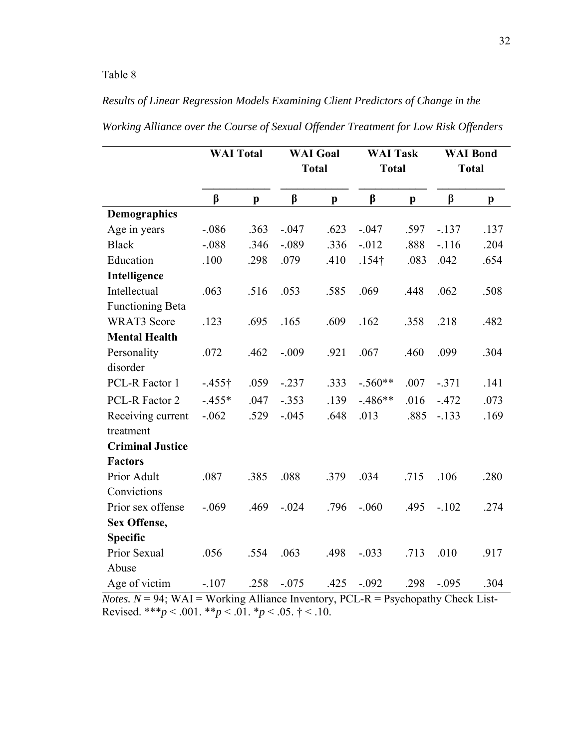## *Results of Linear Regression Models Examining Client Predictors of Change in the*

|                         | <b>WAI</b> Total |              |          | <b>WAI</b> Goal | <b>WAI Task</b> |              |         | <b>WAI Bond</b> |
|-------------------------|------------------|--------------|----------|-----------------|-----------------|--------------|---------|-----------------|
|                         |                  |              |          | <b>Total</b>    | <b>Total</b>    |              |         | <b>Total</b>    |
|                         | $\beta$          | $\mathbf{p}$ | $\beta$  | $\mathbf{p}$    | $\beta$         | $\mathbf{p}$ | $\beta$ | p               |
| <b>Demographics</b>     |                  |              |          |                 |                 |              |         |                 |
| Age in years            | $-.086$          | .363         | $-.047$  | .623            | $-.047$         | .597         | $-137$  | .137            |
| <b>Black</b>            | $-.088$          | .346         | $-.089$  | .336            | $-012$          | .888         | $-116$  | .204            |
| Education               | .100             | .298         | .079     | .410            | $.154\dagger$   | .083         | .042    | .654            |
| Intelligence            |                  |              |          |                 |                 |              |         |                 |
| Intellectual            | .063             | .516         | .053     | .585            | .069            | .448         | .062    | .508            |
| <b>Functioning Beta</b> |                  |              |          |                 |                 |              |         |                 |
| <b>WRAT3</b> Score      | .123             | .695         | .165     | .609            | .162            | .358         | .218    | .482            |
| <b>Mental Health</b>    |                  |              |          |                 |                 |              |         |                 |
| Personality             | .072             | .462         | $-.009$  | .921            | .067            | .460         | .099    | .304            |
| disorder                |                  |              |          |                 |                 |              |         |                 |
| PCL-R Factor 1          | $-455$ †         | .059         | $-0.237$ | .333            | $-.560**$       | .007         | $-.371$ | .141            |
| PCL-R Factor 2          | $-455*$          | .047         | $-.353$  | .139            | $-.486**$       | .016         | $-.472$ | .073            |
| Receiving current       | $-.062$          | .529         | $-.045$  | .648            | .013            | .885         | $-133$  | .169            |
| treatment               |                  |              |          |                 |                 |              |         |                 |
| <b>Criminal Justice</b> |                  |              |          |                 |                 |              |         |                 |
| <b>Factors</b>          |                  |              |          |                 |                 |              |         |                 |
| Prior Adult             | .087             | .385         | .088     | .379            | .034            | .715         | .106    | .280            |
| Convictions             |                  |              |          |                 |                 |              |         |                 |
| Prior sex offense       | $-.069$          | .469         | $-.024$  | .796            | $-.060$         | .495         | $-.102$ | .274            |
| Sex Offense,            |                  |              |          |                 |                 |              |         |                 |
| <b>Specific</b>         |                  |              |          |                 |                 |              |         |                 |
| Prior Sexual            | .056             | .554         | .063     | .498            | $-.033$         | .713         | .010    | .917            |
| Abuse                   |                  |              |          |                 |                 |              |         |                 |
| Age of victim           | $-.107$          | .258         | $-.075$  | .425            | $-.092$         | .298         | $-.095$ | .304            |

*Working Alliance over the Course of Sexual Offender Treatment for Low Risk Offenders* 

*Notes.*  $N = 94$ ;  $WAI = Working$  Alliance Inventory, PCL-R = Psychopathy Check List-Revised. \*\*\**p* < .001. \*\**p* < .01. \**p* < .05.  $\dagger$  < .10.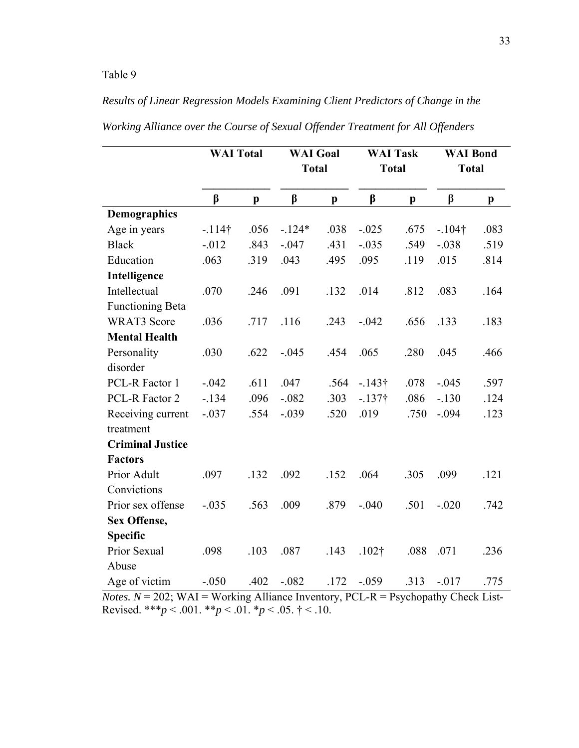## *Results of Linear Regression Models Examining Client Predictors of Change in the*

|                         | <b>WAI Total</b> |              | <b>WAI</b> Goal |              | <b>WAI Task</b>   |              | <b>WAI Bond</b> |      |
|-------------------------|------------------|--------------|-----------------|--------------|-------------------|--------------|-----------------|------|
|                         |                  |              | <b>Total</b>    |              | <b>Total</b>      |              | <b>Total</b>    |      |
|                         | $\beta$          | $\mathbf{p}$ | $\beta$         | $\mathbf{p}$ | $\beta$           | $\mathbf{p}$ | $\beta$         | p    |
| <b>Demographics</b>     |                  |              |                 |              |                   |              |                 |      |
| Age in years            | $-114$ †         | .056         | $-124*$         | .038         | $-.025$           | .675         | $-104$ †        | .083 |
| <b>Black</b>            | $-0.012$         | .843         | $-.047$         | .431         | $-.035$           | .549         | $-.038$         | .519 |
| Education               | .063             | .319         | .043            | .495         | .095              | .119         | .015            | .814 |
| Intelligence            |                  |              |                 |              |                   |              |                 |      |
| Intellectual            | .070             | .246         | .091            | .132         | .014              | .812         | .083            | .164 |
| <b>Functioning Beta</b> |                  |              |                 |              |                   |              |                 |      |
| <b>WRAT3</b> Score      | .036             | .717         | .116            | .243         | $-.042$           | .656         | .133            | .183 |
| <b>Mental Health</b>    |                  |              |                 |              |                   |              |                 |      |
| Personality             | .030             | .622         | $-.045$         | .454         | .065              | .280         | .045            | .466 |
| disorder                |                  |              |                 |              |                   |              |                 |      |
| PCL-R Factor 1          | $-.042$          | .611         | .047            | .564         | $-143\dagger$     | .078         | $-.045$         | .597 |
| PCL-R Factor 2          | $-134$           | .096         | $-.082$         | .303         | $-137$ †          | .086         | $-.130$         | .124 |
| Receiving current       | $-.037$          | .554         | $-.039$         | .520         | .019              | .750         | $-.094$         | .123 |
| treatment               |                  |              |                 |              |                   |              |                 |      |
| <b>Criminal Justice</b> |                  |              |                 |              |                   |              |                 |      |
| <b>Factors</b>          |                  |              |                 |              |                   |              |                 |      |
| Prior Adult             | .097             | .132         | .092            | .152         | .064              | .305         | .099            | .121 |
| Convictions             |                  |              |                 |              |                   |              |                 |      |
| Prior sex offense       | $-.035$          | .563         | .009            | .879         | $-.040$           | .501         | $-.020$         | .742 |
| Sex Offense,            |                  |              |                 |              |                   |              |                 |      |
| <b>Specific</b>         |                  |              |                 |              |                   |              |                 |      |
| Prior Sexual            | .098             | .103         | .087            | .143         | .102 <sup>†</sup> | .088         | .071            | .236 |
| Abuse                   |                  |              |                 |              |                   |              |                 |      |
| Age of victim           | $-.050$          | .402         | $-.082$         | .172         | $-.059$           | .313         | $-0.017$        | .775 |

*Working Alliance over the Course of Sexual Offender Treatment for All Offenders* 

*Notes.*  $N = 202$ ; WAI = Working Alliance Inventory, PCL-R = Psychopathy Check List-Revised. \*\*\**p* < .001. \*\**p* < .01. \**p* < .05.  $\dagger$  < .10.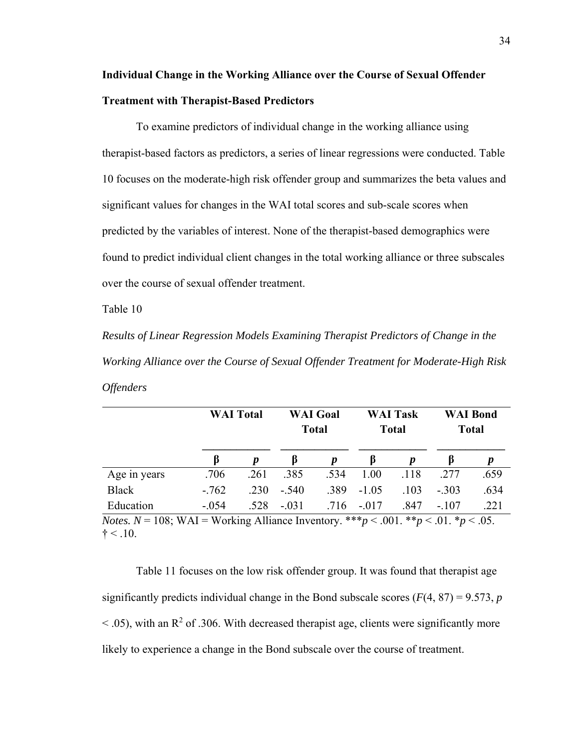## **Individual Change in the Working Alliance over the Course of Sexual Offender Treatment with Therapist-Based Predictors**

To examine predictors of individual change in the working alliance using therapist-based factors as predictors, a series of linear regressions were conducted. Table 10 focuses on the moderate-high risk offender group and summarizes the beta values and significant values for changes in the WAI total scores and sub-scale scores when predicted by the variables of interest. None of the therapist-based demographics were found to predict individual client changes in the total working alliance or three subscales over the course of sexual offender treatment.

Table 10

*Results of Linear Regression Models Examining Therapist Predictors of Change in the Working Alliance over the Course of Sexual Offender Treatment for Moderate-High Risk Offenders* 

|                                                                                                           |         | <b>WAI</b> Total |         | <b>WAI</b> Goal<br><b>Total</b> |               | <b>WAI Task</b><br><b>Total</b> |         | <b>WAI</b> Bond<br><b>Total</b> |
|-----------------------------------------------------------------------------------------------------------|---------|------------------|---------|---------------------------------|---------------|---------------------------------|---------|---------------------------------|
|                                                                                                           | ß       |                  | B       | p                               | 15            | $\boldsymbol{p}$                | B       |                                 |
| Age in years                                                                                              | .706    | .261             | .385    | .534                            | 1.00          | .118                            | .277    | .659                            |
| <b>Black</b>                                                                                              | $-762$  | .230             | $-.540$ | .389                            | $-1.05$       | .103                            | $-.303$ | .634                            |
| Education                                                                                                 | $-.054$ | .528             | $-.031$ |                                 | $.716 - .017$ | .847                            | $-.107$ | .221                            |
| <i>Notes.</i> $N = 108$ ; WAI = Working Alliance Inventory. *** $p < .001$ . ** $p < .01$ . * $p < .05$ . |         |                  |         |                                 |               |                                 |         |                                 |

 $\dagger$  < .10.

Table 11 focuses on the low risk offender group. It was found that therapist age significantly predicts individual change in the Bond subscale scores  $(F(4, 87) = 9.573, p$  $<$  0.05), with an R<sup>2</sup> of 0.306. With decreased therapist age, clients were significantly more likely to experience a change in the Bond subscale over the course of treatment.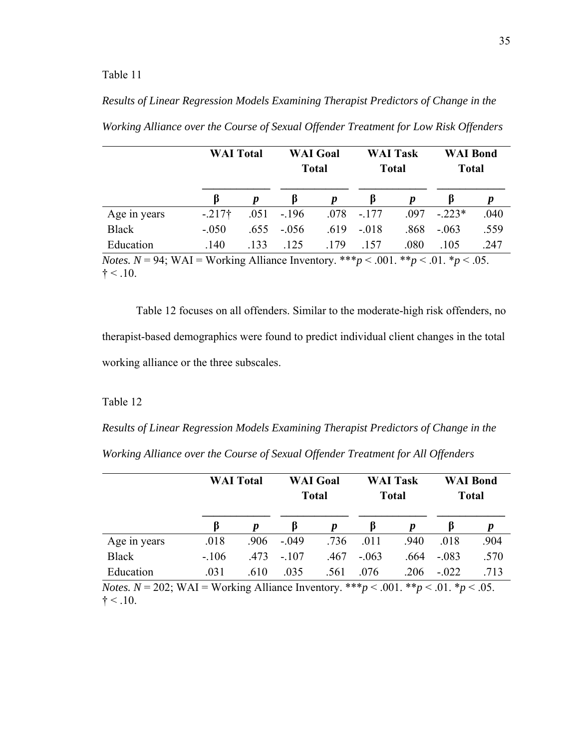## *Results of Linear Regression Models Examining Therapist Predictors of Change in the*

|                                                                                                          | <b>WAI</b> Total    |      | <b>WAI</b> Goal<br><b>Total</b> |                  | <b>WAI Task</b><br><b>Total</b> |      | <b>WAI Bond</b><br><b>Total</b> |      |
|----------------------------------------------------------------------------------------------------------|---------------------|------|---------------------------------|------------------|---------------------------------|------|---------------------------------|------|
|                                                                                                          | B                   |      | β                               | $\boldsymbol{p}$ | B                               |      | B                               | p    |
| Age in years                                                                                             | $-217$ <sup>†</sup> | .051 | $-196$                          | .078             | $-.177$                         | .097 | $-.223*$                        | .040 |
| Black                                                                                                    | $-.050$             | .655 | $-.056$                         | .619             | $-.018$                         | .868 | $-.063$                         | .559 |
| Education                                                                                                | .140                | .133 | .125                            | .179             | -157                            | .080 | .105                            | .247 |
| <i>Notes.</i> $N = 94$ ; WAI = Working Alliance Inventory. *** $p < .001$ . ** $p < .01$ . * $p < .05$ . |                     |      |                                 |                  |                                 |      |                                 |      |

*Working Alliance over the Course of Sexual Offender Treatment for Low Risk Offenders* 

 $\dagger$  < .10.

Table 12 focuses on all offenders. Similar to the moderate-high risk offenders, no therapist-based demographics were found to predict individual client changes in the total working alliance or the three subscales.

#### Table 12

*Results of Linear Regression Models Examining Therapist Predictors of Change in the Working Alliance over the Course of Sexual Offender Treatment for All Offenders* 

|                                                                                                           |         | <b>WAI</b> Total |         | <b>WAI</b> Goal<br><b>Total</b> |         | <b>WAI Task</b><br><b>Total</b> |         | <b>WAI Bond</b><br><b>Total</b> |
|-----------------------------------------------------------------------------------------------------------|---------|------------------|---------|---------------------------------|---------|---------------------------------|---------|---------------------------------|
|                                                                                                           | ß       |                  | B       | p                               | B       | p                               | B       | p                               |
| Age in years                                                                                              | .018    | .906             | $-.049$ | .736                            | .011    | .940                            | .018    | .904                            |
| <b>Black</b>                                                                                              | $-.106$ | .473             | $-.107$ | .467                            | $-.063$ | .664                            | $-.083$ | .570                            |
| Education                                                                                                 | .031    | .610             | .035    | .561                            | .076    | .206                            | $-.022$ | .713                            |
| <i>Notes.</i> $N = 202$ ; WAI = Working Alliance Inventory. *** $p < .001$ . ** $p < .01$ . * $p < .05$ . |         |                  |         |                                 |         |                                 |         |                                 |

 $\dagger$  < .10.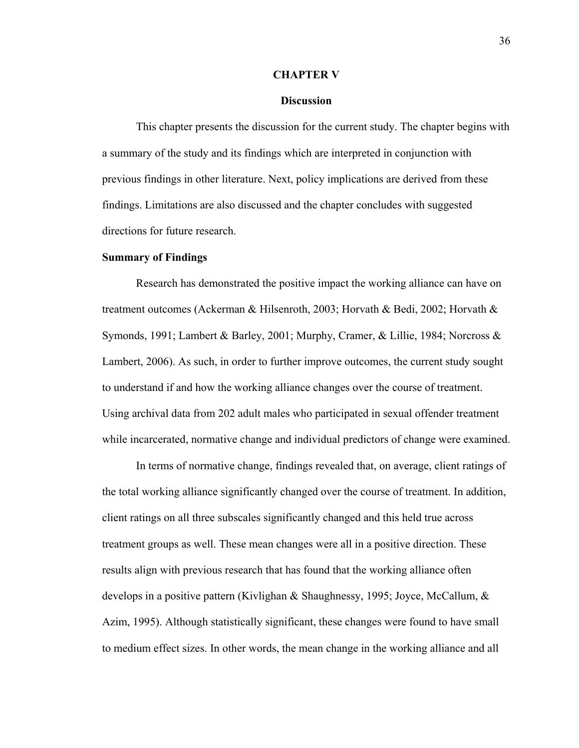#### **CHAPTER V**

#### **Discussion**

This chapter presents the discussion for the current study. The chapter begins with a summary of the study and its findings which are interpreted in conjunction with previous findings in other literature. Next, policy implications are derived from these findings. Limitations are also discussed and the chapter concludes with suggested directions for future research.

#### **Summary of Findings**

 Research has demonstrated the positive impact the working alliance can have on treatment outcomes (Ackerman & Hilsenroth, 2003; Horvath & Bedi, 2002; Horvath & Symonds, 1991; Lambert & Barley, 2001; Murphy, Cramer, & Lillie, 1984; Norcross & Lambert, 2006). As such, in order to further improve outcomes, the current study sought to understand if and how the working alliance changes over the course of treatment. Using archival data from 202 adult males who participated in sexual offender treatment while incarcerated, normative change and individual predictors of change were examined.

 In terms of normative change, findings revealed that, on average, client ratings of the total working alliance significantly changed over the course of treatment. In addition, client ratings on all three subscales significantly changed and this held true across treatment groups as well. These mean changes were all in a positive direction. These results align with previous research that has found that the working alliance often develops in a positive pattern (Kivlighan & Shaughnessy, 1995; Joyce, McCallum, & Azim, 1995). Although statistically significant, these changes were found to have small to medium effect sizes. In other words, the mean change in the working alliance and all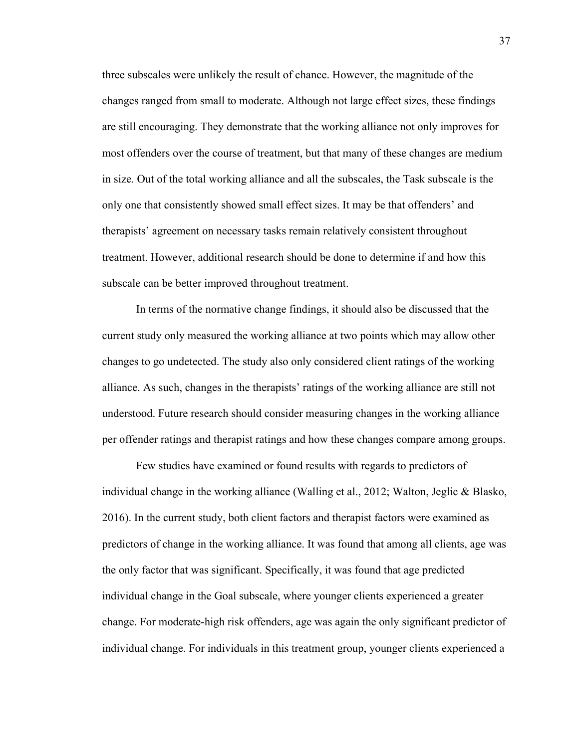three subscales were unlikely the result of chance. However, the magnitude of the changes ranged from small to moderate. Although not large effect sizes, these findings are still encouraging. They demonstrate that the working alliance not only improves for most offenders over the course of treatment, but that many of these changes are medium in size. Out of the total working alliance and all the subscales, the Task subscale is the only one that consistently showed small effect sizes. It may be that offenders' and therapists' agreement on necessary tasks remain relatively consistent throughout treatment. However, additional research should be done to determine if and how this subscale can be better improved throughout treatment.

In terms of the normative change findings, it should also be discussed that the current study only measured the working alliance at two points which may allow other changes to go undetected. The study also only considered client ratings of the working alliance. As such, changes in the therapists' ratings of the working alliance are still not understood. Future research should consider measuring changes in the working alliance per offender ratings and therapist ratings and how these changes compare among groups.

 Few studies have examined or found results with regards to predictors of individual change in the working alliance (Walling et al., 2012; Walton, Jeglic & Blasko, 2016). In the current study, both client factors and therapist factors were examined as predictors of change in the working alliance. It was found that among all clients, age was the only factor that was significant. Specifically, it was found that age predicted individual change in the Goal subscale, where younger clients experienced a greater change. For moderate-high risk offenders, age was again the only significant predictor of individual change. For individuals in this treatment group, younger clients experienced a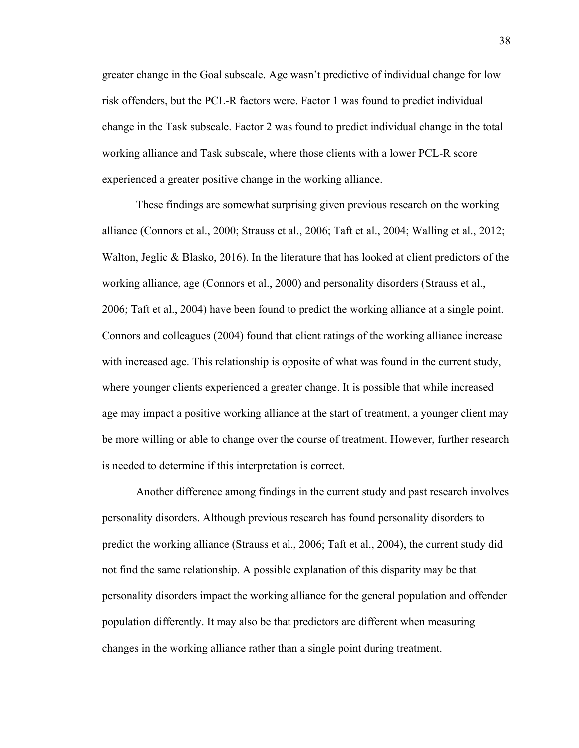greater change in the Goal subscale. Age wasn't predictive of individual change for low risk offenders, but the PCL-R factors were. Factor 1 was found to predict individual change in the Task subscale. Factor 2 was found to predict individual change in the total working alliance and Task subscale, where those clients with a lower PCL-R score experienced a greater positive change in the working alliance.

 These findings are somewhat surprising given previous research on the working alliance (Connors et al., 2000; Strauss et al., 2006; Taft et al., 2004; Walling et al., 2012; Walton, Jeglic  $\&$  Blasko, 2016). In the literature that has looked at client predictors of the working alliance, age (Connors et al., 2000) and personality disorders (Strauss et al., 2006; Taft et al., 2004) have been found to predict the working alliance at a single point. Connors and colleagues (2004) found that client ratings of the working alliance increase with increased age. This relationship is opposite of what was found in the current study, where younger clients experienced a greater change. It is possible that while increased age may impact a positive working alliance at the start of treatment, a younger client may be more willing or able to change over the course of treatment. However, further research is needed to determine if this interpretation is correct.

Another difference among findings in the current study and past research involves personality disorders. Although previous research has found personality disorders to predict the working alliance (Strauss et al., 2006; Taft et al., 2004), the current study did not find the same relationship. A possible explanation of this disparity may be that personality disorders impact the working alliance for the general population and offender population differently. It may also be that predictors are different when measuring changes in the working alliance rather than a single point during treatment.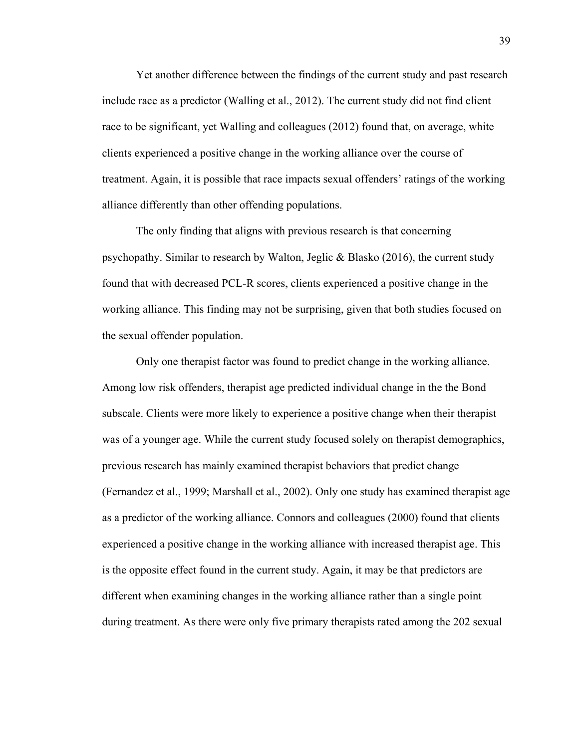Yet another difference between the findings of the current study and past research include race as a predictor (Walling et al., 2012). The current study did not find client race to be significant, yet Walling and colleagues (2012) found that, on average, white clients experienced a positive change in the working alliance over the course of treatment. Again, it is possible that race impacts sexual offenders' ratings of the working alliance differently than other offending populations.

The only finding that aligns with previous research is that concerning psychopathy. Similar to research by Walton, Jeglic & Blasko (2016), the current study found that with decreased PCL-R scores, clients experienced a positive change in the working alliance. This finding may not be surprising, given that both studies focused on the sexual offender population.

 Only one therapist factor was found to predict change in the working alliance. Among low risk offenders, therapist age predicted individual change in the the Bond subscale. Clients were more likely to experience a positive change when their therapist was of a younger age. While the current study focused solely on therapist demographics, previous research has mainly examined therapist behaviors that predict change (Fernandez et al., 1999; Marshall et al., 2002). Only one study has examined therapist age as a predictor of the working alliance. Connors and colleagues (2000) found that clients experienced a positive change in the working alliance with increased therapist age. This is the opposite effect found in the current study. Again, it may be that predictors are different when examining changes in the working alliance rather than a single point during treatment. As there were only five primary therapists rated among the 202 sexual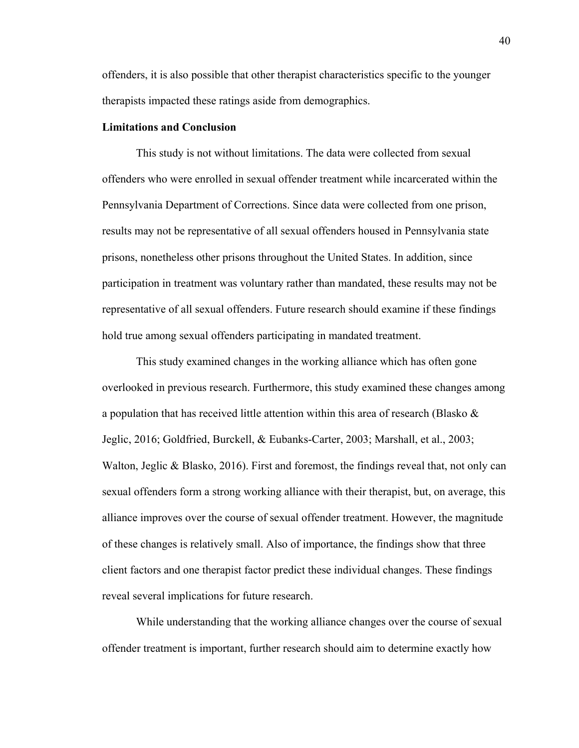offenders, it is also possible that other therapist characteristics specific to the younger therapists impacted these ratings aside from demographics.

#### **Limitations and Conclusion**

This study is not without limitations. The data were collected from sexual offenders who were enrolled in sexual offender treatment while incarcerated within the Pennsylvania Department of Corrections. Since data were collected from one prison, results may not be representative of all sexual offenders housed in Pennsylvania state prisons, nonetheless other prisons throughout the United States. In addition, since participation in treatment was voluntary rather than mandated, these results may not be representative of all sexual offenders. Future research should examine if these findings hold true among sexual offenders participating in mandated treatment.

 This study examined changes in the working alliance which has often gone overlooked in previous research. Furthermore, this study examined these changes among a population that has received little attention within this area of research (Blasko  $\&$ Jeglic, 2016; Goldfried, Burckell, & Eubanks-Carter, 2003; Marshall, et al., 2003; Walton, Jeglic & Blasko, 2016). First and foremost, the findings reveal that, not only can sexual offenders form a strong working alliance with their therapist, but, on average, this alliance improves over the course of sexual offender treatment. However, the magnitude of these changes is relatively small. Also of importance, the findings show that three client factors and one therapist factor predict these individual changes. These findings reveal several implications for future research.

While understanding that the working alliance changes over the course of sexual offender treatment is important, further research should aim to determine exactly how

40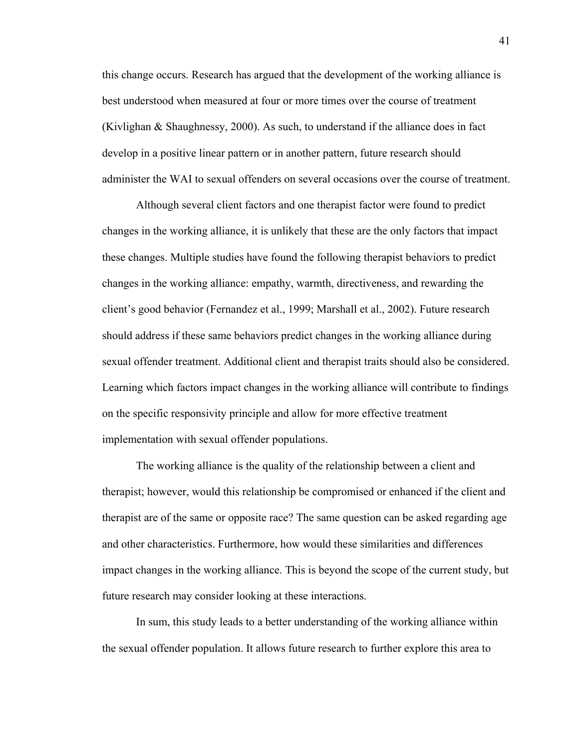this change occurs. Research has argued that the development of the working alliance is best understood when measured at four or more times over the course of treatment (Kivlighan & Shaughnessy, 2000). As such, to understand if the alliance does in fact develop in a positive linear pattern or in another pattern, future research should administer the WAI to sexual offenders on several occasions over the course of treatment.

Although several client factors and one therapist factor were found to predict changes in the working alliance, it is unlikely that these are the only factors that impact these changes. Multiple studies have found the following therapist behaviors to predict changes in the working alliance: empathy, warmth, directiveness, and rewarding the client's good behavior (Fernandez et al., 1999; Marshall et al., 2002). Future research should address if these same behaviors predict changes in the working alliance during sexual offender treatment. Additional client and therapist traits should also be considered. Learning which factors impact changes in the working alliance will contribute to findings on the specific responsivity principle and allow for more effective treatment implementation with sexual offender populations.

The working alliance is the quality of the relationship between a client and therapist; however, would this relationship be compromised or enhanced if the client and therapist are of the same or opposite race? The same question can be asked regarding age and other characteristics. Furthermore, how would these similarities and differences impact changes in the working alliance. This is beyond the scope of the current study, but future research may consider looking at these interactions.

In sum, this study leads to a better understanding of the working alliance within the sexual offender population. It allows future research to further explore this area to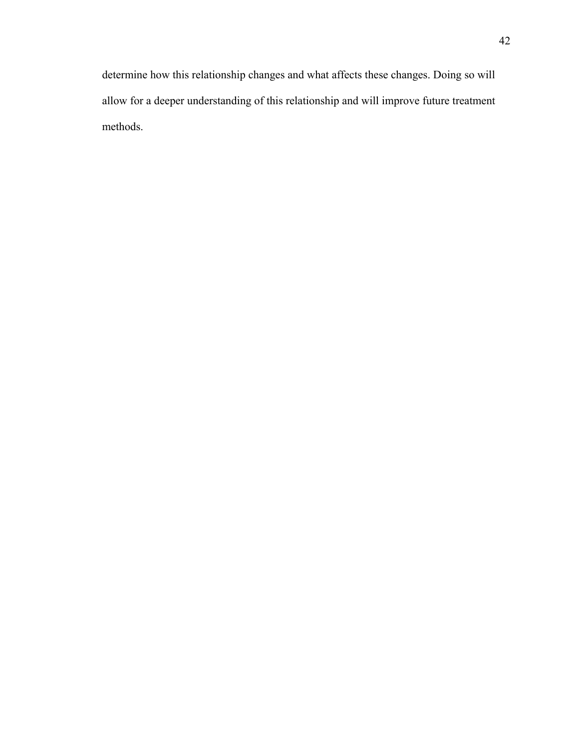determine how this relationship changes and what affects these changes. Doing so will allow for a deeper understanding of this relationship and will improve future treatment methods.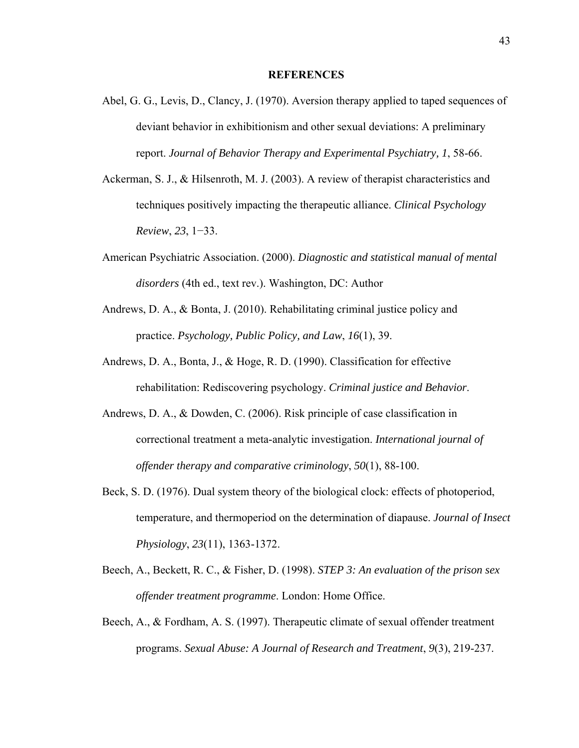#### **REFERENCES**

- Abel, G. G., Levis, D., Clancy, J. (1970). Aversion therapy applied to taped sequences of deviant behavior in exhibitionism and other sexual deviations: A preliminary report. *Journal of Behavior Therapy and Experimental Psychiatry, 1*, 58-66.
- Ackerman, S. J., & Hilsenroth, M. J. (2003). A review of therapist characteristics and techniques positively impacting the therapeutic alliance. *Clinical Psychology Review*, *23*, 1−33.
- American Psychiatric Association. (2000). *Diagnostic and statistical manual of mental disorders* (4th ed., text rev.). Washington, DC: Author
- Andrews, D. A., & Bonta, J. (2010). Rehabilitating criminal justice policy and practice. *Psychology, Public Policy, and Law*, *16*(1), 39.
- Andrews, D. A., Bonta, J., & Hoge, R. D. (1990). Classification for effective rehabilitation: Rediscovering psychology. *Criminal justice and Behavior*.
- Andrews, D. A., & Dowden, C. (2006). Risk principle of case classification in correctional treatment a meta-analytic investigation. *International journal of offender therapy and comparative criminology*, *50*(1), 88-100.
- Beck, S. D. (1976). Dual system theory of the biological clock: effects of photoperiod, temperature, and thermoperiod on the determination of diapause. *Journal of Insect Physiology*, *23*(11), 1363-1372.
- Beech, A., Beckett, R. C., & Fisher, D. (1998). *STEP 3: An evaluation of the prison sex offender treatment programme*. London: Home Office.
- Beech, A., & Fordham, A. S. (1997). Therapeutic climate of sexual offender treatment programs. *Sexual Abuse: A Journal of Research and Treatment*, *9*(3), 219-237.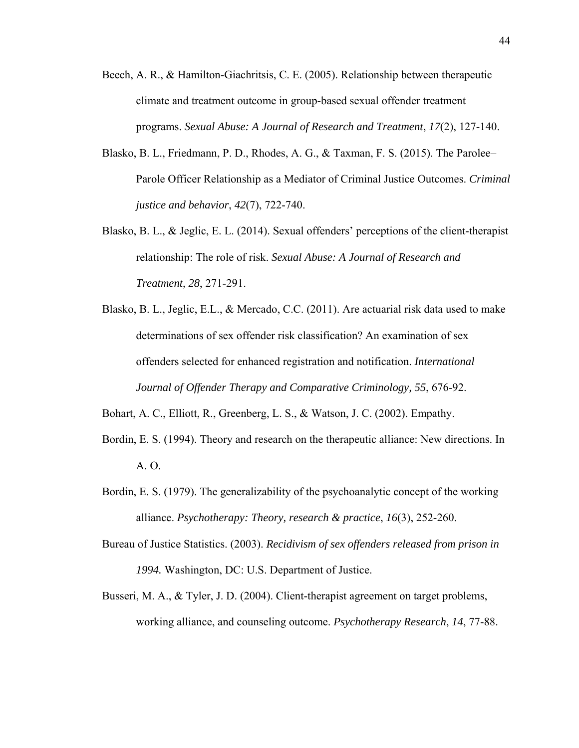- Beech, A. R., & Hamilton-Giachritsis, C. E. (2005). Relationship between therapeutic climate and treatment outcome in group-based sexual offender treatment programs. *Sexual Abuse: A Journal of Research and Treatment*, *17*(2), 127-140.
- Blasko, B. L., Friedmann, P. D., Rhodes, A. G., & Taxman, F. S. (2015). The Parolee– Parole Officer Relationship as a Mediator of Criminal Justice Outcomes. *Criminal justice and behavior*, *42*(7), 722-740.
- Blasko, B. L., & Jeglic, E. L. (2014). Sexual offenders' perceptions of the client-therapist relationship: The role of risk. *Sexual Abuse: A Journal of Research and Treatment*, *28*, 271-291.
- Blasko, B. L., Jeglic, E.L., & Mercado, C.C. (2011). Are actuarial risk data used to make determinations of sex offender risk classification? An examination of sex offenders selected for enhanced registration and notification. *International Journal of Offender Therapy and Comparative Criminology, 55*, 676-92.

Bohart, A. C., Elliott, R., Greenberg, L. S., & Watson, J. C. (2002). Empathy.

- Bordin, E. S. (1994). Theory and research on the therapeutic alliance: New directions. In A. O.
- Bordin, E. S. (1979). The generalizability of the psychoanalytic concept of the working alliance. *Psychotherapy: Theory, research & practice*, *16*(3), 252-260.
- Bureau of Justice Statistics. (2003). *Recidivism of sex offenders released from prison in 1994.* Washington, DC: U.S. Department of Justice.
- Busseri, M. A., & Tyler, J. D. (2004). Client-therapist agreement on target problems, working alliance, and counseling outcome. *Psychotherapy Research*, *14*, 77-88.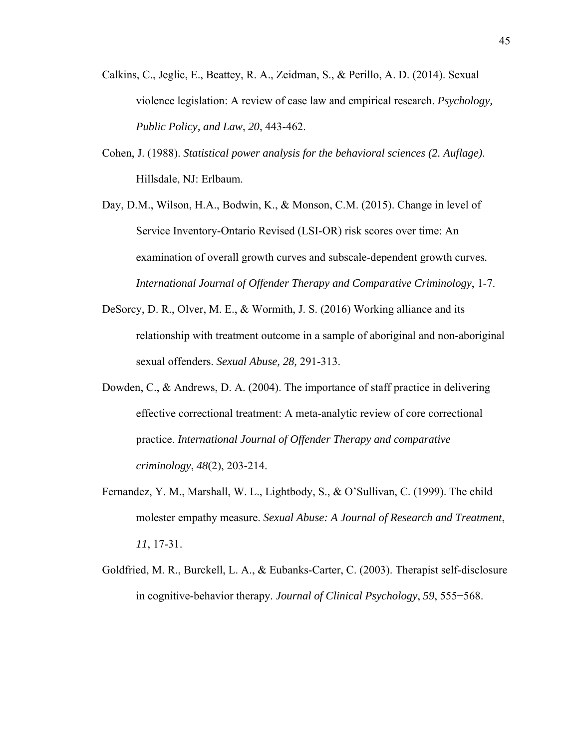- Calkins, C., Jeglic, E., Beattey, R. A., Zeidman, S., & Perillo, A. D. (2014). Sexual violence legislation: A review of case law and empirical research. *Psychology, Public Policy, and Law*, *20*, 443-462.
- Cohen, J. (1988). *Statistical power analysis for the behavioral sciences (2. Auflage)*. Hillsdale, NJ: Erlbaum.
- Day, D.M., Wilson, H.A., Bodwin, K., & Monson, C.M. (2015). Change in level of Service Inventory-Ontario Revised (LSI-OR) risk scores over time: An examination of overall growth curves and subscale-dependent growth curves*. International Journal of Offender Therapy and Comparative Criminology*, 1-7.
- DeSorcy, D. R., Olver, M. E., & Wormith, J. S. (2016) Working alliance and its relationship with treatment outcome in a sample of aboriginal and non-aboriginal sexual offenders. *Sexual Abuse, 28,* 291-313.
- Dowden, C., & Andrews, D. A. (2004). The importance of staff practice in delivering effective correctional treatment: A meta-analytic review of core correctional practice. *International Journal of Offender Therapy and comparative criminology*, *48*(2), 203-214.
- Fernandez, Y. M., Marshall, W. L., Lightbody, S., & O'Sullivan, C. (1999). The child molester empathy measure. *Sexual Abuse: A Journal of Research and Treatment*, *11*, 17-31.
- Goldfried, M. R., Burckell, L. A., & Eubanks-Carter, C. (2003). Therapist self-disclosure in cognitive-behavior therapy. *Journal of Clinical Psychology*, *59*, 555−568.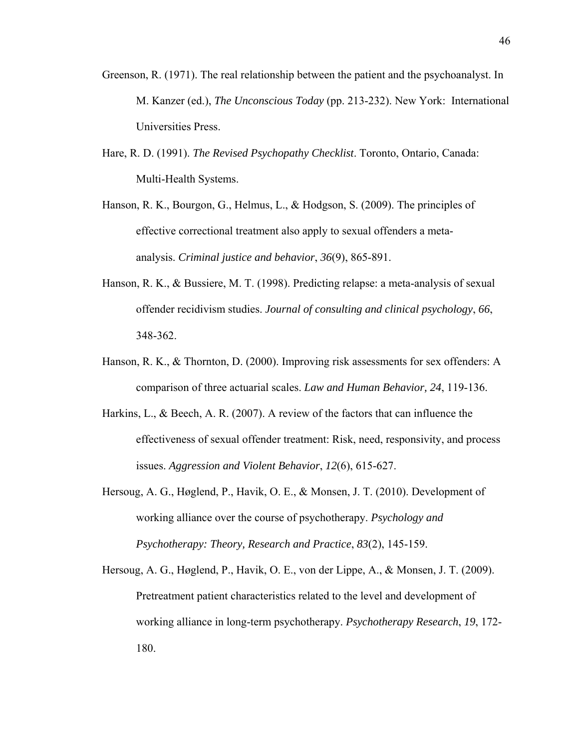- Greenson, R. (1971). The real relationship between the patient and the psychoanalyst. In M. Kanzer (ed.), *The Unconscious Today* (pp. 213-232). New York: International Universities Press.
- Hare, R. D. (1991). *The Revised Psychopathy Checklist*. Toronto, Ontario, Canada: Multi-Health Systems.
- Hanson, R. K., Bourgon, G., Helmus, L., & Hodgson, S. (2009). The principles of effective correctional treatment also apply to sexual offenders a metaanalysis. *Criminal justice and behavior*, *36*(9), 865-891.
- Hanson, R. K., & Bussiere, M. T. (1998). Predicting relapse: a meta-analysis of sexual offender recidivism studies. *Journal of consulting and clinical psychology*, *66*, 348-362.
- Hanson, R. K., & Thornton, D. (2000). Improving risk assessments for sex offenders: A comparison of three actuarial scales. *Law and Human Behavior, 24*, 119-136.
- Harkins, L., & Beech, A. R. (2007). A review of the factors that can influence the effectiveness of sexual offender treatment: Risk, need, responsivity, and process issues. *Aggression and Violent Behavior*, *12*(6), 615-627.
- Hersoug, A. G., Høglend, P., Havik, O. E., & Monsen, J. T. (2010). Development of working alliance over the course of psychotherapy. *Psychology and Psychotherapy: Theory, Research and Practice*, *83*(2), 145-159.
- Hersoug, A. G., Høglend, P., Havik, O. E., von der Lippe, A., & Monsen, J. T. (2009). Pretreatment patient characteristics related to the level and development of working alliance in long-term psychotherapy. *Psychotherapy Research*, *19*, 172- 180.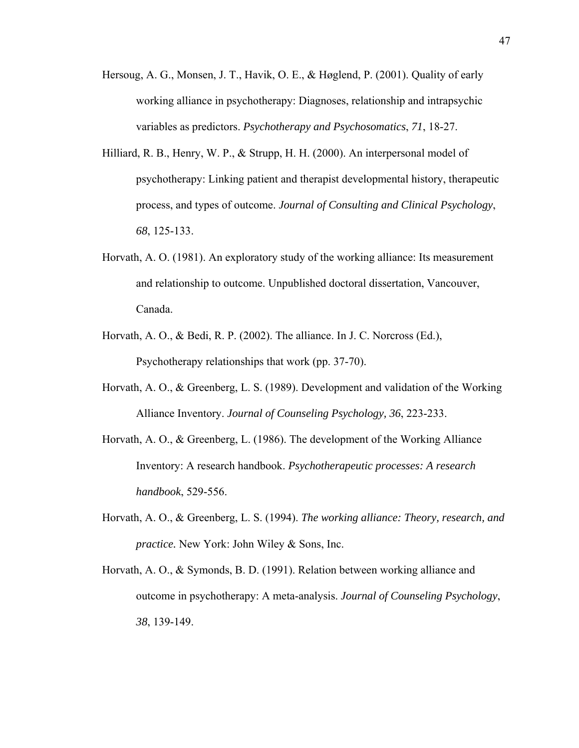- Hersoug, A. G., Monsen, J. T., Havik, O. E., & Høglend, P. (2001). Quality of early working alliance in psychotherapy: Diagnoses, relationship and intrapsychic variables as predictors. *Psychotherapy and Psychosomatics*, *71*, 18-27.
- Hilliard, R. B., Henry, W. P., & Strupp, H. H. (2000). An interpersonal model of psychotherapy: Linking patient and therapist developmental history, therapeutic process, and types of outcome. *Journal of Consulting and Clinical Psychology*, *68*, 125-133.
- Horvath, A. O. (1981). An exploratory study of the working alliance: Its measurement and relationship to outcome. Unpublished doctoral dissertation, Vancouver, Canada.
- Horvath, A. O., & Bedi, R. P. (2002). The alliance. In J. C. Norcross (Ed.), Psychotherapy relationships that work (pp. 37-70).
- Horvath, A. O., & Greenberg, L. S. (1989). Development and validation of the Working Alliance Inventory. *Journal of Counseling Psychology, 36*, 223-233.
- Horvath, A. O., & Greenberg, L. (1986). The development of the Working Alliance Inventory: A research handbook. *Psychotherapeutic processes: A research handbook*, 529-556.
- Horvath, A. O., & Greenberg, L. S. (1994). *The working alliance: Theory, research, and practice.* New York: John Wiley & Sons, Inc.
- Horvath, A. O., & Symonds, B. D. (1991). Relation between working alliance and outcome in psychotherapy: A meta-analysis. *Journal of Counseling Psychology*, *38*, 139-149.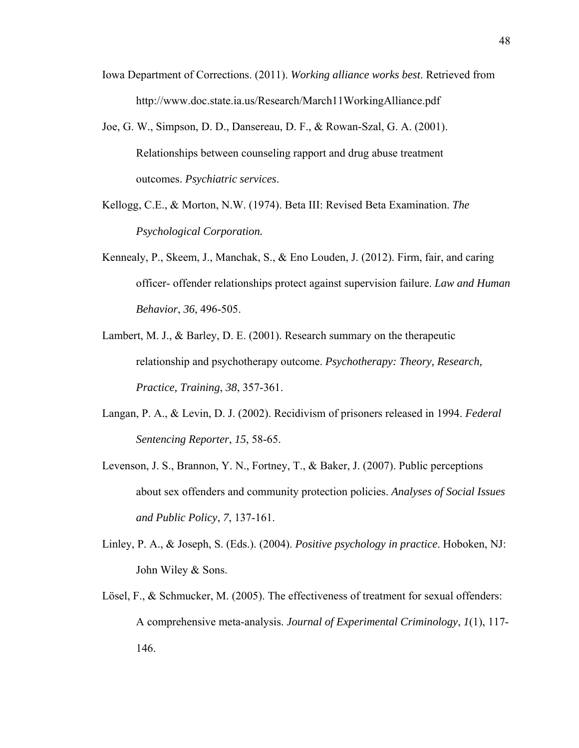- Iowa Department of Corrections. (2011). *Working alliance works best*. Retrieved from http://www.doc.state.ia.us/Research/March11WorkingAlliance.pdf
- Joe, G. W., Simpson, D. D., Dansereau, D. F., & Rowan-Szal, G. A. (2001). Relationships between counseling rapport and drug abuse treatment outcomes. *Psychiatric services*.
- Kellogg, C.E., & Morton, N.W. (1974). Beta III: Revised Beta Examination. *The Psychological Corporation.*
- Kennealy, P., Skeem, J., Manchak, S., & Eno Louden, J. (2012). Firm, fair, and caring officer- offender relationships protect against supervision failure. *Law and Human Behavior*, *36*, 496-505.
- Lambert, M. J., & Barley, D. E. (2001). Research summary on the therapeutic relationship and psychotherapy outcome. *Psychotherapy: Theory, Research, Practice, Training*, *38*, 357-361.
- Langan, P. A., & Levin, D. J. (2002). Recidivism of prisoners released in 1994. *Federal Sentencing Reporter*, *15*, 58-65.
- Levenson, J. S., Brannon, Y. N., Fortney, T., & Baker, J. (2007). Public perceptions about sex offenders and community protection policies. *Analyses of Social Issues and Public Policy*, *7*, 137-161.
- Linley, P. A., & Joseph, S. (Eds.). (2004). *Positive psychology in practice*. Hoboken, NJ: John Wiley & Sons.
- Lösel, F., & Schmucker, M. (2005). The effectiveness of treatment for sexual offenders: A comprehensive meta-analysis. *Journal of Experimental Criminology*, *1*(1), 117- 146.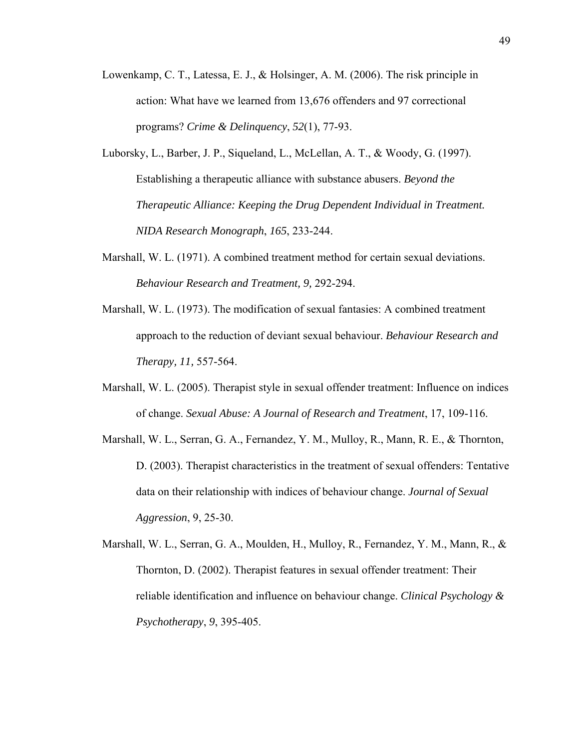- Lowenkamp, C. T., Latessa, E. J., & Holsinger, A. M. (2006). The risk principle in action: What have we learned from 13,676 offenders and 97 correctional programs? *Crime & Delinquency*, *52*(1), 77-93.
- Luborsky, L., Barber, J. P., Siqueland, L., McLellan, A. T., & Woody, G. (1997). Establishing a therapeutic alliance with substance abusers. *Beyond the Therapeutic Alliance: Keeping the Drug Dependent Individual in Treatment. NIDA Research Monograph*, *165*, 233-244.
- Marshall, W. L. (1971). A combined treatment method for certain sexual deviations. *Behaviour Research and Treatment, 9,* 292-294.
- Marshall, W. L. (1973). The modification of sexual fantasies: A combined treatment approach to the reduction of deviant sexual behaviour. *Behaviour Research and Therapy, 11,* 557-564.
- Marshall, W. L. (2005). Therapist style in sexual offender treatment: Influence on indices of change. *Sexual Abuse: A Journal of Research and Treatment*, 17, 109-116.
- Marshall, W. L., Serran, G. A., Fernandez, Y. M., Mulloy, R., Mann, R. E., & Thornton, D. (2003). Therapist characteristics in the treatment of sexual offenders: Tentative data on their relationship with indices of behaviour change. *Journal of Sexual Aggression*, 9, 25-30.
- Marshall, W. L., Serran, G. A., Moulden, H., Mulloy, R., Fernandez, Y. M., Mann, R., & Thornton, D. (2002). Therapist features in sexual offender treatment: Their reliable identification and influence on behaviour change. *Clinical Psychology & Psychotherapy*, *9*, 395-405.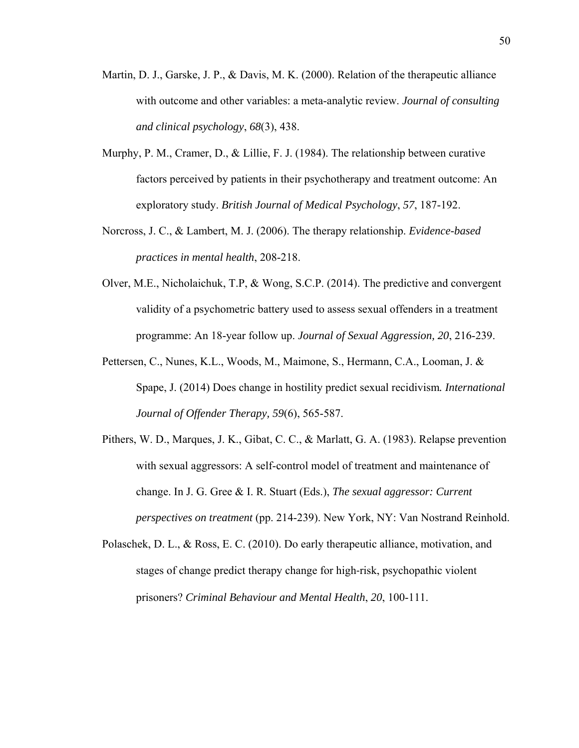- Martin, D. J., Garske, J. P., & Davis, M. K. (2000). Relation of the therapeutic alliance with outcome and other variables: a meta-analytic review. *Journal of consulting and clinical psychology*, *68*(3), 438.
- Murphy, P. M., Cramer, D., & Lillie, F. J. (1984). The relationship between curative factors perceived by patients in their psychotherapy and treatment outcome: An exploratory study. *British Journal of Medical Psychology*, *57*, 187-192.
- Norcross, J. C., & Lambert, M. J. (2006). The therapy relationship. *Evidence-based practices in mental health*, 208-218.
- Olver, M.E., Nicholaichuk, T.P, & Wong, S.C.P. (2014). The predictive and convergent validity of a psychometric battery used to assess sexual offenders in a treatment programme: An 18-year follow up. *Journal of Sexual Aggression, 20*, 216-239.
- Pettersen, C., Nunes, K.L., Woods, M., Maimone, S., Hermann, C.A., Looman, J. & Spape, J. (2014) Does change in hostility predict sexual recidivism*. International Journal of Offender Therapy, 59*(6), 565-587.
- Pithers, W. D., Marques, J. K., Gibat, C. C., & Marlatt, G. A. (1983). Relapse prevention with sexual aggressors: A self-control model of treatment and maintenance of change. In J. G. Gree & I. R. Stuart (Eds.), *The sexual aggressor: Current perspectives on treatment* (pp. 214-239). New York, NY: Van Nostrand Reinhold.
- Polaschek, D. L., & Ross, E. C. (2010). Do early therapeutic alliance, motivation, and stages of change predict therapy change for high‐risk, psychopathic violent prisoners? *Criminal Behaviour and Mental Health*, *20*, 100-111.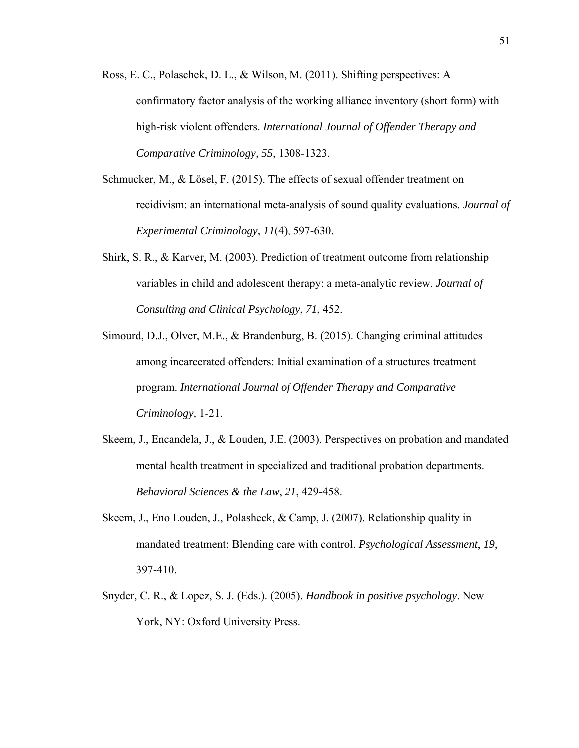- Ross, E. C., Polaschek, D. L., & Wilson, M. (2011). Shifting perspectives: A confirmatory factor analysis of the working alliance inventory (short form) with high-risk violent offenders. *International Journal of Offender Therapy and Comparative Criminology, 55,* 1308-1323.
- Schmucker, M., & Lösel, F. (2015). The effects of sexual offender treatment on recidivism: an international meta-analysis of sound quality evaluations. *Journal of Experimental Criminology*, *11*(4), 597-630.
- Shirk, S. R., & Karver, M. (2003). Prediction of treatment outcome from relationship variables in child and adolescent therapy: a meta-analytic review. *Journal of Consulting and Clinical Psychology*, *71*, 452.
- Simourd, D.J., Olver, M.E., & Brandenburg, B. (2015). Changing criminal attitudes among incarcerated offenders: Initial examination of a structures treatment program. *International Journal of Offender Therapy and Comparative Criminology,* 1-21.
- Skeem, J., Encandela, J., & Louden, J.E. (2003). Perspectives on probation and mandated mental health treatment in specialized and traditional probation departments. *Behavioral Sciences & the Law*, *21*, 429-458.
- Skeem, J., Eno Louden, J., Polasheck, & Camp, J. (2007). Relationship quality in mandated treatment: Blending care with control. *Psychological Assessment*, *19*, 397-410.
- Snyder, C. R., & Lopez, S. J. (Eds.). (2005). *Handbook in positive psychology*. New York, NY: Oxford University Press.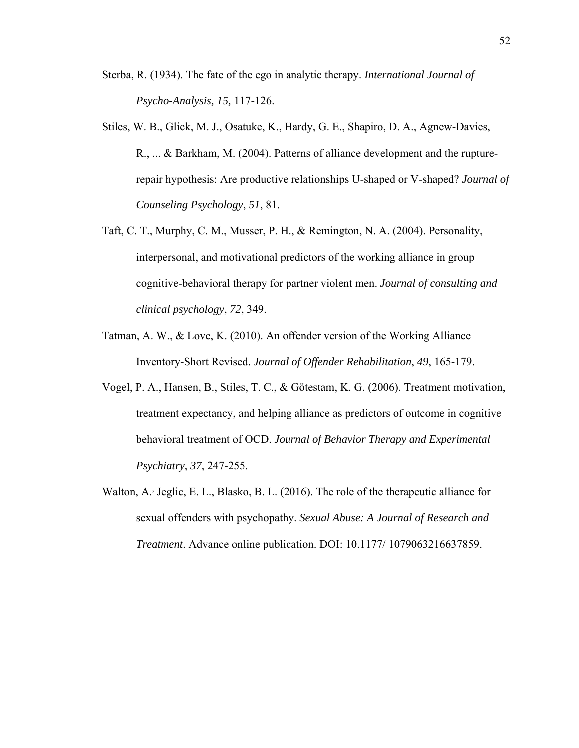- Sterba, R. (1934). The fate of the ego in analytic therapy. *International Journal of Psycho-Analysis, 15,* 117-126.
- Stiles, W. B., Glick, M. J., Osatuke, K., Hardy, G. E., Shapiro, D. A., Agnew-Davies, R., ... & Barkham, M. (2004). Patterns of alliance development and the rupturerepair hypothesis: Are productive relationships U-shaped or V-shaped? *Journal of Counseling Psychology*, *51*, 81.
- Taft, C. T., Murphy, C. M., Musser, P. H., & Remington, N. A. (2004). Personality, interpersonal, and motivational predictors of the working alliance in group cognitive-behavioral therapy for partner violent men. *Journal of consulting and clinical psychology*, *72*, 349.
- Tatman, A. W., & Love, K. (2010). An offender version of the Working Alliance Inventory-Short Revised. *Journal of Offender Rehabilitation*, *49*, 165-179.
- Vogel, P. A., Hansen, B., Stiles, T. C., & Götestam, K. G. (2006). Treatment motivation, treatment expectancy, and helping alliance as predictors of outcome in cognitive behavioral treatment of OCD. *Journal of Behavior Therapy and Experimental Psychiatry*, *37*, 247-255.
- Walton, A. Jeglic, E. L., Blasko, B. L. (2016). The role of the therapeutic alliance for sexual offenders with psychopathy. *Sexual Abuse: A Journal of Research and Treatment*. Advance online publication. DOI: 10.1177/ 1079063216637859.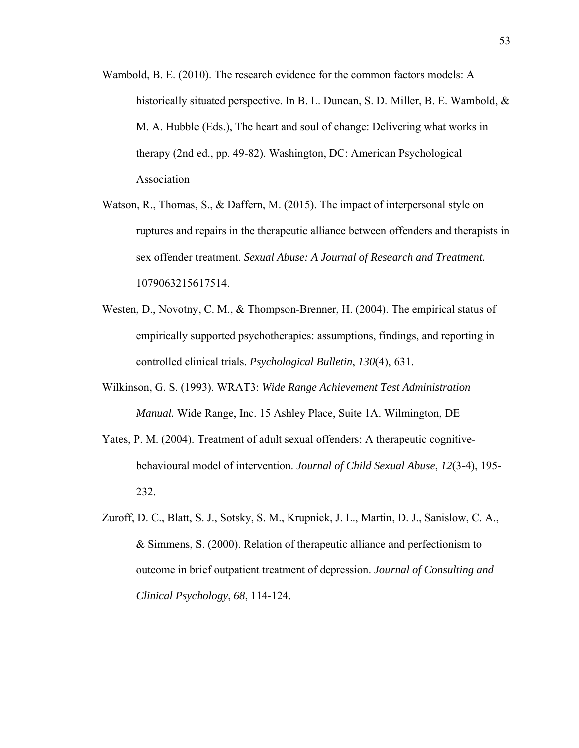- Wambold, B. E. (2010). The research evidence for the common factors models: A historically situated perspective. In B. L. Duncan, S. D. Miller, B. E. Wambold, & M. A. Hubble (Eds.), The heart and soul of change: Delivering what works in therapy (2nd ed., pp. 49-82). Washington, DC: American Psychological Association
- Watson, R., Thomas, S., & Daffern, M. (2015). The impact of interpersonal style on ruptures and repairs in the therapeutic alliance between offenders and therapists in sex offender treatment. *Sexual Abuse: A Journal of Research and Treatment.* 1079063215617514.
- Westen, D., Novotny, C. M., & Thompson-Brenner, H. (2004). The empirical status of empirically supported psychotherapies: assumptions, findings, and reporting in controlled clinical trials. *Psychological Bulletin*, *130*(4), 631.
- Wilkinson, G. S. (1993). WRAT3: *Wide Range Achievement Test Administration Manual.* Wide Range, Inc. 15 Ashley Place, Suite 1A. Wilmington, DE
- Yates, P. M. (2004). Treatment of adult sexual offenders: A therapeutic cognitivebehavioural model of intervention. *Journal of Child Sexual Abuse*, *12*(3-4), 195- 232.
- Zuroff, D. C., Blatt, S. J., Sotsky, S. M., Krupnick, J. L., Martin, D. J., Sanislow, C. A., & Simmens, S. (2000). Relation of therapeutic alliance and perfectionism to outcome in brief outpatient treatment of depression. *Journal of Consulting and Clinical Psychology*, *68*, 114-124.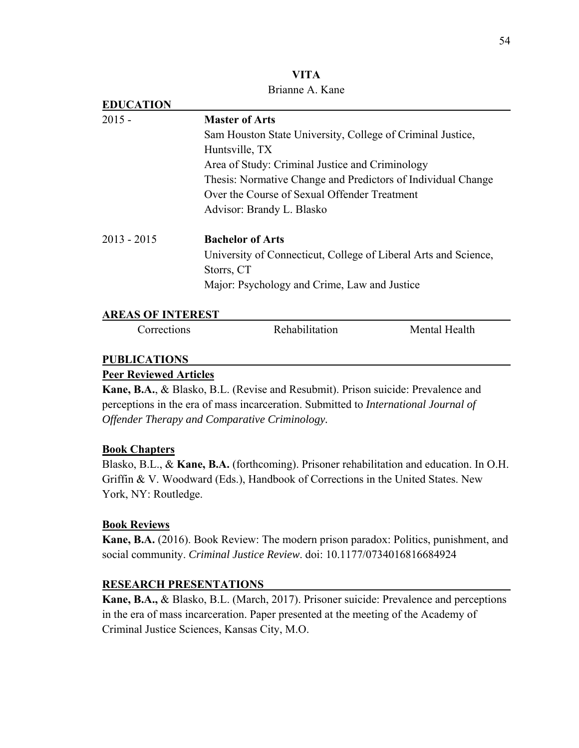| VITA            |
|-----------------|
| Brianne A. Kane |

| <b>EDUCATION</b>              |                                                                                            |               |  |  |  |  |  |
|-------------------------------|--------------------------------------------------------------------------------------------|---------------|--|--|--|--|--|
| $2015 -$                      | <b>Master of Arts</b>                                                                      |               |  |  |  |  |  |
|                               | Sam Houston State University, College of Criminal Justice,                                 |               |  |  |  |  |  |
|                               | Huntsville, TX                                                                             |               |  |  |  |  |  |
|                               | Area of Study: Criminal Justice and Criminology                                            |               |  |  |  |  |  |
|                               | Thesis: Normative Change and Predictors of Individual Change                               |               |  |  |  |  |  |
|                               | Over the Course of Sexual Offender Treatment                                               |               |  |  |  |  |  |
|                               | Advisor: Brandy L. Blasko                                                                  |               |  |  |  |  |  |
| $2013 - 2015$                 | <b>Bachelor of Arts</b>                                                                    |               |  |  |  |  |  |
|                               | University of Connecticut, College of Liberal Arts and Science,                            |               |  |  |  |  |  |
|                               | Storrs, CT                                                                                 |               |  |  |  |  |  |
|                               | Major: Psychology and Crime, Law and Justice                                               |               |  |  |  |  |  |
| <b>AREAS OF INTEREST</b>      |                                                                                            |               |  |  |  |  |  |
| Corrections                   | Rehabilitation                                                                             | Mental Health |  |  |  |  |  |
| <b>PUBLICATIONS</b>           |                                                                                            |               |  |  |  |  |  |
| <b>Peer Reviewed Articles</b> |                                                                                            |               |  |  |  |  |  |
|                               | Kane, B.A., & Blasko, B.L. (Revise and Resubmit). Prison suicide: Prevalence and           |               |  |  |  |  |  |
|                               | perceptions in the era of mass incarceration. Submitted to <i>International Journal of</i> |               |  |  |  |  |  |

*Offender Therapy and Comparative Criminology.* 

### **Book Chapters**

Blasko, B.L., & **Kane, B.A.** (forthcoming). Prisoner rehabilitation and education. In O.H. Griffin & V. Woodward (Eds.), Handbook of Corrections in the United States. New York, NY: Routledge.

### **Book Reviews**

**Kane, B.A.** (2016). Book Review: The modern prison paradox: Politics, punishment, and social community. *Criminal Justice Review*. doi: 10.1177/0734016816684924

### **RESEARCH PRESENTATIONS**

**Kane, B.A.,** & Blasko, B.L. (March, 2017). Prisoner suicide: Prevalence and perceptions in the era of mass incarceration. Paper presented at the meeting of the Academy of Criminal Justice Sciences, Kansas City, M.O.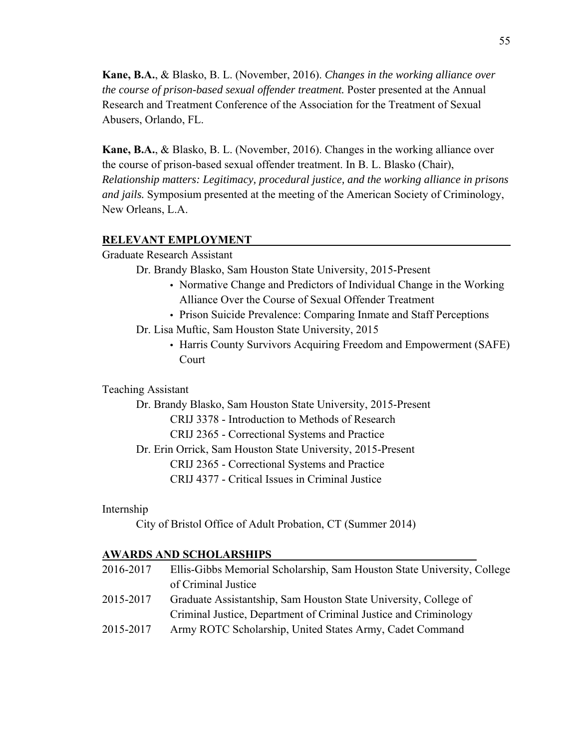**Kane, B.A.**, & Blasko, B. L. (November, 2016). *Changes in the working alliance over the course of prison-based sexual offender treatment.* Poster presented at the Annual Research and Treatment Conference of the Association for the Treatment of Sexual Abusers, Orlando, FL.

**Kane, B.A.**, & Blasko, B. L. (November, 2016). Changes in the working alliance over the course of prison-based sexual offender treatment. In B. L. Blasko (Chair), *Relationship matters: Legitimacy, procedural justice, and the working alliance in prisons and jails.* Symposium presented at the meeting of the American Society of Criminology, New Orleans, L.A.

#### **RELEVANT EMPLOYMENT**

Graduate Research Assistant

- Dr. Brandy Blasko, Sam Houston State University, 2015-Present
	- Normative Change and Predictors of Individual Change in the Working Alliance Over the Course of Sexual Offender Treatment
	- Prison Suicide Prevalence: Comparing Inmate and Staff Perceptions
- Dr. Lisa Muftic, Sam Houston State University, 2015
	- Harris County Survivors Acquiring Freedom and Empowerment (SAFE) Court

#### Teaching Assistant

 Dr. Brandy Blasko, Sam Houston State University, 2015-Present CRIJ 3378 - Introduction to Methods of Research CRIJ 2365 - Correctional Systems and Practice Dr. Erin Orrick, Sam Houston State University, 2015-Present CRIJ 2365 - Correctional Systems and Practice CRIJ 4377 - Critical Issues in Criminal Justice

Internship

```
 City of Bristol Office of Adult Probation, CT (Summer 2014)
```
#### **AWARDS AND SCHOLARSHIPS**

| 2016-2017 | Ellis-Gibbs Memorial Scholarship, Sam Houston State University, College |
|-----------|-------------------------------------------------------------------------|
|           | of Criminal Justice                                                     |
| 2015-2017 | Graduate Assistantship, Sam Houston State University, College of        |
|           | Criminal Justice, Department of Criminal Justice and Criminology        |
| 2015-2017 | Army ROTC Scholarship, United States Army, Cadet Command                |